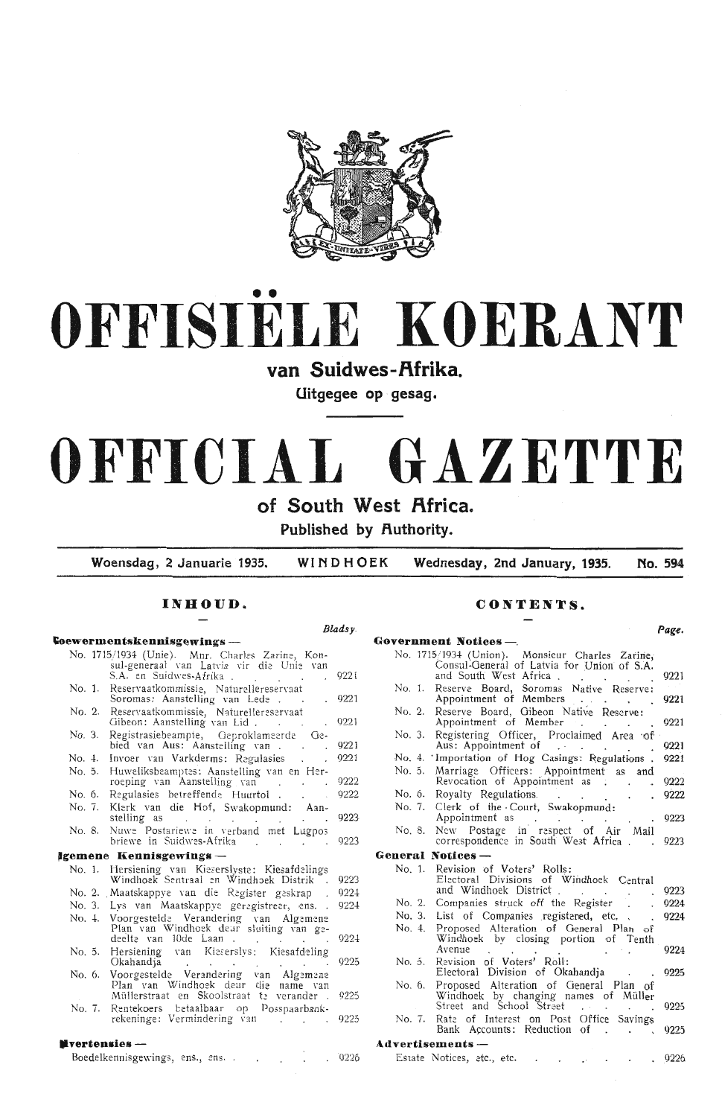

# •• **OFFISIELE KOERANT**

# van Suidwes-Afrika.

**Uitgegee op · gesag .** 

# **OFFICIAL GAZETTE**

## of South West Africa.

**Published by Authority.** 

**Woensdag, 2 Januarie 1935. WINDHOEK Wednesday, 2nd January, 1935. No. 594** 

## **INHOUD.**

| Coewermentskennisgewings —<br>No. 1715/1934 (Unie). Mnr. Charles Zarine, Kon-<br>sul-generaal van Latvia vir die Unie van<br>S.A. en Suidwes-Afrika<br>9221<br>Reservaatkommissie, Naturellereservaat<br>No. 1.<br>Soromas: Aanstelling van Lede.<br>Reservaatkommissie, Naturellereservaat<br>No. 2.<br>Gibeon: Aanstelling van Lid.<br>Registrasiebeampte, Geproklameerde Ge-<br>No. 3.<br>bied van Aus: Aanstelling van<br>Invoer van Varkderms: Regulasies .<br>No. 4.<br>Huweliksbeamptes: Aanstelling van en Her-<br>No. 5.<br>9222<br>roeping van Aanstelling van<br>9222<br>Regulasies betreffende Huurtol<br>No. 6.<br>Klerk van die Hof, Swakopmund: Aan-<br>No. 7.<br>stelling as the contract of the stelling as<br>Nuwe Postariewe in verband met Lugpos<br>No. 8.<br>briewe in Suidwes-Afrika<br>Hersiening van Kieserslyste: Kiesafdelings<br>No. 1.<br>Windhoek Sentraal en Windhoek Distrik .<br>No. 2. Maatskappye van die Register geskrap.<br>Lys van Maatskappye geregistreer, ens. .<br>No. 3.<br>Voorgestelde Verandering van Algemene<br>Plan van Windhoek deur sluiting van ge-<br>No. 4.<br>9224<br>deelte van 10de Laan.<br>Hersiening van Kieserslys: Kiesafdeling<br>No. 5.<br>Okahandja<br>Voorgestelde Verandering van Algemene<br>No. 6.<br>Plan van Windhoek deur die name van<br>Müllerstraat en Skoolstraat te verander.<br>9225<br>Rentekoers betaalbaar op Posspaarbank-<br>No. 7.<br>rekeninge: Vermindering van<br>. 9226 |  | Bladsy. |
|------------------------------------------------------------------------------------------------------------------------------------------------------------------------------------------------------------------------------------------------------------------------------------------------------------------------------------------------------------------------------------------------------------------------------------------------------------------------------------------------------------------------------------------------------------------------------------------------------------------------------------------------------------------------------------------------------------------------------------------------------------------------------------------------------------------------------------------------------------------------------------------------------------------------------------------------------------------------------------------------------------------------------------------------------------------------------------------------------------------------------------------------------------------------------------------------------------------------------------------------------------------------------------------------------------------------------------------------------------------------------------------------------------------------------------------------------------------|--|---------|
| lgemene Kennisgewings —<br><b>N</b> vertensies —                                                                                                                                                                                                                                                                                                                                                                                                                                                                                                                                                                                                                                                                                                                                                                                                                                                                                                                                                                                                                                                                                                                                                                                                                                                                                                                                                                                                                 |  |         |
|                                                                                                                                                                                                                                                                                                                                                                                                                                                                                                                                                                                                                                                                                                                                                                                                                                                                                                                                                                                                                                                                                                                                                                                                                                                                                                                                                                                                                                                                  |  |         |
|                                                                                                                                                                                                                                                                                                                                                                                                                                                                                                                                                                                                                                                                                                                                                                                                                                                                                                                                                                                                                                                                                                                                                                                                                                                                                                                                                                                                                                                                  |  |         |
|                                                                                                                                                                                                                                                                                                                                                                                                                                                                                                                                                                                                                                                                                                                                                                                                                                                                                                                                                                                                                                                                                                                                                                                                                                                                                                                                                                                                                                                                  |  |         |
|                                                                                                                                                                                                                                                                                                                                                                                                                                                                                                                                                                                                                                                                                                                                                                                                                                                                                                                                                                                                                                                                                                                                                                                                                                                                                                                                                                                                                                                                  |  | 9221    |
|                                                                                                                                                                                                                                                                                                                                                                                                                                                                                                                                                                                                                                                                                                                                                                                                                                                                                                                                                                                                                                                                                                                                                                                                                                                                                                                                                                                                                                                                  |  | 9221    |
|                                                                                                                                                                                                                                                                                                                                                                                                                                                                                                                                                                                                                                                                                                                                                                                                                                                                                                                                                                                                                                                                                                                                                                                                                                                                                                                                                                                                                                                                  |  | 9221    |
|                                                                                                                                                                                                                                                                                                                                                                                                                                                                                                                                                                                                                                                                                                                                                                                                                                                                                                                                                                                                                                                                                                                                                                                                                                                                                                                                                                                                                                                                  |  | 9221    |
|                                                                                                                                                                                                                                                                                                                                                                                                                                                                                                                                                                                                                                                                                                                                                                                                                                                                                                                                                                                                                                                                                                                                                                                                                                                                                                                                                                                                                                                                  |  |         |
|                                                                                                                                                                                                                                                                                                                                                                                                                                                                                                                                                                                                                                                                                                                                                                                                                                                                                                                                                                                                                                                                                                                                                                                                                                                                                                                                                                                                                                                                  |  |         |
|                                                                                                                                                                                                                                                                                                                                                                                                                                                                                                                                                                                                                                                                                                                                                                                                                                                                                                                                                                                                                                                                                                                                                                                                                                                                                                                                                                                                                                                                  |  |         |
|                                                                                                                                                                                                                                                                                                                                                                                                                                                                                                                                                                                                                                                                                                                                                                                                                                                                                                                                                                                                                                                                                                                                                                                                                                                                                                                                                                                                                                                                  |  | 9223    |
|                                                                                                                                                                                                                                                                                                                                                                                                                                                                                                                                                                                                                                                                                                                                                                                                                                                                                                                                                                                                                                                                                                                                                                                                                                                                                                                                                                                                                                                                  |  | 0223    |
|                                                                                                                                                                                                                                                                                                                                                                                                                                                                                                                                                                                                                                                                                                                                                                                                                                                                                                                                                                                                                                                                                                                                                                                                                                                                                                                                                                                                                                                                  |  |         |
|                                                                                                                                                                                                                                                                                                                                                                                                                                                                                                                                                                                                                                                                                                                                                                                                                                                                                                                                                                                                                                                                                                                                                                                                                                                                                                                                                                                                                                                                  |  | 9223    |
|                                                                                                                                                                                                                                                                                                                                                                                                                                                                                                                                                                                                                                                                                                                                                                                                                                                                                                                                                                                                                                                                                                                                                                                                                                                                                                                                                                                                                                                                  |  | 9224    |
|                                                                                                                                                                                                                                                                                                                                                                                                                                                                                                                                                                                                                                                                                                                                                                                                                                                                                                                                                                                                                                                                                                                                                                                                                                                                                                                                                                                                                                                                  |  | 9224    |
|                                                                                                                                                                                                                                                                                                                                                                                                                                                                                                                                                                                                                                                                                                                                                                                                                                                                                                                                                                                                                                                                                                                                                                                                                                                                                                                                                                                                                                                                  |  |         |
|                                                                                                                                                                                                                                                                                                                                                                                                                                                                                                                                                                                                                                                                                                                                                                                                                                                                                                                                                                                                                                                                                                                                                                                                                                                                                                                                                                                                                                                                  |  | 9225    |
|                                                                                                                                                                                                                                                                                                                                                                                                                                                                                                                                                                                                                                                                                                                                                                                                                                                                                                                                                                                                                                                                                                                                                                                                                                                                                                                                                                                                                                                                  |  |         |
|                                                                                                                                                                                                                                                                                                                                                                                                                                                                                                                                                                                                                                                                                                                                                                                                                                                                                                                                                                                                                                                                                                                                                                                                                                                                                                                                                                                                                                                                  |  |         |
|                                                                                                                                                                                                                                                                                                                                                                                                                                                                                                                                                                                                                                                                                                                                                                                                                                                                                                                                                                                                                                                                                                                                                                                                                                                                                                                                                                                                                                                                  |  | 9225    |
|                                                                                                                                                                                                                                                                                                                                                                                                                                                                                                                                                                                                                                                                                                                                                                                                                                                                                                                                                                                                                                                                                                                                                                                                                                                                                                                                                                                                                                                                  |  |         |
|                                                                                                                                                                                                                                                                                                                                                                                                                                                                                                                                                                                                                                                                                                                                                                                                                                                                                                                                                                                                                                                                                                                                                                                                                                                                                                                                                                                                                                                                  |  |         |

### **CONTENTS.**

| Government Notices -<br>No. 1715/1934 (Union). Monsieur Charles Zarine,<br>Consul-General of Latvia for Union of S.A.<br>and South West Africa.<br>9221<br>Reserve Board, Soromas Native Reserve:<br>No. 1.<br>Appointment of Members<br>9221<br>いりつき ハイト<br>Reserve Board, Gibeon Native Reserve:<br>No. 2.<br>0221<br>Appointment of Member<br><b>Carlos</b><br>Registering Officer, Proclaimed Area of<br>No. 3.<br>Aus: Appointment of<br>9221<br>'Importation of Hog Casings: Regulations .<br>9221<br>No. 4.<br>No. 5.<br>Marriage Officers: Appointment as<br>and<br>Revocation of Appointment as .<br>9222<br>9222<br>Royalty Regulations.<br>No. 6.<br>$\cdot$ $\cdot$ $\cdot$<br>Clerk of the Court, Swakopmund:<br>No. 7.<br>Appointment as<br>9223<br><b>Contractor</b><br>New Postage in respect of Air Mail<br>No. 8.<br>correspondence in South West Africa.<br>9223<br>General Notices —<br>Revision of Voters' Rolls:<br>No. 1.<br>Electoral Divisions of Windhoek Central<br>and Windhoek District<br>9223<br>Companies struck off the Register<br>9224<br>No. 2.<br>No. 3.<br>List of Companies registered, etc. .<br>9224<br>Proposed Alteration of General Plan<br>No. 4.<br>οf<br>Windhoek by closing portion of Tenth<br>9224<br>Avenue<br>Revision of Voters' Roll:<br>No. 5.<br>0225<br>Electoral Division of Okahandia<br>Proposed Alteration of General Plan of<br>No. 6.<br>Windhoek by changing names of Müller<br>Street and School Street<br>9225<br>$\sim 10^{-11}$<br>Rate of Interest on Post Office Savings<br>No. 7.<br>Bank Accounts: Reduction<br>9225<br>of<br>L.<br>Advertisements -<br>9226<br>Estate Notices, etc., etc. |  | Page. |
|--------------------------------------------------------------------------------------------------------------------------------------------------------------------------------------------------------------------------------------------------------------------------------------------------------------------------------------------------------------------------------------------------------------------------------------------------------------------------------------------------------------------------------------------------------------------------------------------------------------------------------------------------------------------------------------------------------------------------------------------------------------------------------------------------------------------------------------------------------------------------------------------------------------------------------------------------------------------------------------------------------------------------------------------------------------------------------------------------------------------------------------------------------------------------------------------------------------------------------------------------------------------------------------------------------------------------------------------------------------------------------------------------------------------------------------------------------------------------------------------------------------------------------------------------------------------------------------------------------------------------------------------------------------------|--|-------|
|                                                                                                                                                                                                                                                                                                                                                                                                                                                                                                                                                                                                                                                                                                                                                                                                                                                                                                                                                                                                                                                                                                                                                                                                                                                                                                                                                                                                                                                                                                                                                                                                                                                                    |  |       |
|                                                                                                                                                                                                                                                                                                                                                                                                                                                                                                                                                                                                                                                                                                                                                                                                                                                                                                                                                                                                                                                                                                                                                                                                                                                                                                                                                                                                                                                                                                                                                                                                                                                                    |  |       |
|                                                                                                                                                                                                                                                                                                                                                                                                                                                                                                                                                                                                                                                                                                                                                                                                                                                                                                                                                                                                                                                                                                                                                                                                                                                                                                                                                                                                                                                                                                                                                                                                                                                                    |  |       |
|                                                                                                                                                                                                                                                                                                                                                                                                                                                                                                                                                                                                                                                                                                                                                                                                                                                                                                                                                                                                                                                                                                                                                                                                                                                                                                                                                                                                                                                                                                                                                                                                                                                                    |  |       |
|                                                                                                                                                                                                                                                                                                                                                                                                                                                                                                                                                                                                                                                                                                                                                                                                                                                                                                                                                                                                                                                                                                                                                                                                                                                                                                                                                                                                                                                                                                                                                                                                                                                                    |  |       |
|                                                                                                                                                                                                                                                                                                                                                                                                                                                                                                                                                                                                                                                                                                                                                                                                                                                                                                                                                                                                                                                                                                                                                                                                                                                                                                                                                                                                                                                                                                                                                                                                                                                                    |  |       |
|                                                                                                                                                                                                                                                                                                                                                                                                                                                                                                                                                                                                                                                                                                                                                                                                                                                                                                                                                                                                                                                                                                                                                                                                                                                                                                                                                                                                                                                                                                                                                                                                                                                                    |  |       |
|                                                                                                                                                                                                                                                                                                                                                                                                                                                                                                                                                                                                                                                                                                                                                                                                                                                                                                                                                                                                                                                                                                                                                                                                                                                                                                                                                                                                                                                                                                                                                                                                                                                                    |  |       |
|                                                                                                                                                                                                                                                                                                                                                                                                                                                                                                                                                                                                                                                                                                                                                                                                                                                                                                                                                                                                                                                                                                                                                                                                                                                                                                                                                                                                                                                                                                                                                                                                                                                                    |  |       |
|                                                                                                                                                                                                                                                                                                                                                                                                                                                                                                                                                                                                                                                                                                                                                                                                                                                                                                                                                                                                                                                                                                                                                                                                                                                                                                                                                                                                                                                                                                                                                                                                                                                                    |  |       |
|                                                                                                                                                                                                                                                                                                                                                                                                                                                                                                                                                                                                                                                                                                                                                                                                                                                                                                                                                                                                                                                                                                                                                                                                                                                                                                                                                                                                                                                                                                                                                                                                                                                                    |  |       |
|                                                                                                                                                                                                                                                                                                                                                                                                                                                                                                                                                                                                                                                                                                                                                                                                                                                                                                                                                                                                                                                                                                                                                                                                                                                                                                                                                                                                                                                                                                                                                                                                                                                                    |  |       |
|                                                                                                                                                                                                                                                                                                                                                                                                                                                                                                                                                                                                                                                                                                                                                                                                                                                                                                                                                                                                                                                                                                                                                                                                                                                                                                                                                                                                                                                                                                                                                                                                                                                                    |  |       |
|                                                                                                                                                                                                                                                                                                                                                                                                                                                                                                                                                                                                                                                                                                                                                                                                                                                                                                                                                                                                                                                                                                                                                                                                                                                                                                                                                                                                                                                                                                                                                                                                                                                                    |  |       |
|                                                                                                                                                                                                                                                                                                                                                                                                                                                                                                                                                                                                                                                                                                                                                                                                                                                                                                                                                                                                                                                                                                                                                                                                                                                                                                                                                                                                                                                                                                                                                                                                                                                                    |  |       |
|                                                                                                                                                                                                                                                                                                                                                                                                                                                                                                                                                                                                                                                                                                                                                                                                                                                                                                                                                                                                                                                                                                                                                                                                                                                                                                                                                                                                                                                                                                                                                                                                                                                                    |  |       |
|                                                                                                                                                                                                                                                                                                                                                                                                                                                                                                                                                                                                                                                                                                                                                                                                                                                                                                                                                                                                                                                                                                                                                                                                                                                                                                                                                                                                                                                                                                                                                                                                                                                                    |  |       |
|                                                                                                                                                                                                                                                                                                                                                                                                                                                                                                                                                                                                                                                                                                                                                                                                                                                                                                                                                                                                                                                                                                                                                                                                                                                                                                                                                                                                                                                                                                                                                                                                                                                                    |  |       |
|                                                                                                                                                                                                                                                                                                                                                                                                                                                                                                                                                                                                                                                                                                                                                                                                                                                                                                                                                                                                                                                                                                                                                                                                                                                                                                                                                                                                                                                                                                                                                                                                                                                                    |  |       |
|                                                                                                                                                                                                                                                                                                                                                                                                                                                                                                                                                                                                                                                                                                                                                                                                                                                                                                                                                                                                                                                                                                                                                                                                                                                                                                                                                                                                                                                                                                                                                                                                                                                                    |  |       |
|                                                                                                                                                                                                                                                                                                                                                                                                                                                                                                                                                                                                                                                                                                                                                                                                                                                                                                                                                                                                                                                                                                                                                                                                                                                                                                                                                                                                                                                                                                                                                                                                                                                                    |  |       |
|                                                                                                                                                                                                                                                                                                                                                                                                                                                                                                                                                                                                                                                                                                                                                                                                                                                                                                                                                                                                                                                                                                                                                                                                                                                                                                                                                                                                                                                                                                                                                                                                                                                                    |  |       |
|                                                                                                                                                                                                                                                                                                                                                                                                                                                                                                                                                                                                                                                                                                                                                                                                                                                                                                                                                                                                                                                                                                                                                                                                                                                                                                                                                                                                                                                                                                                                                                                                                                                                    |  |       |
|                                                                                                                                                                                                                                                                                                                                                                                                                                                                                                                                                                                                                                                                                                                                                                                                                                                                                                                                                                                                                                                                                                                                                                                                                                                                                                                                                                                                                                                                                                                                                                                                                                                                    |  |       |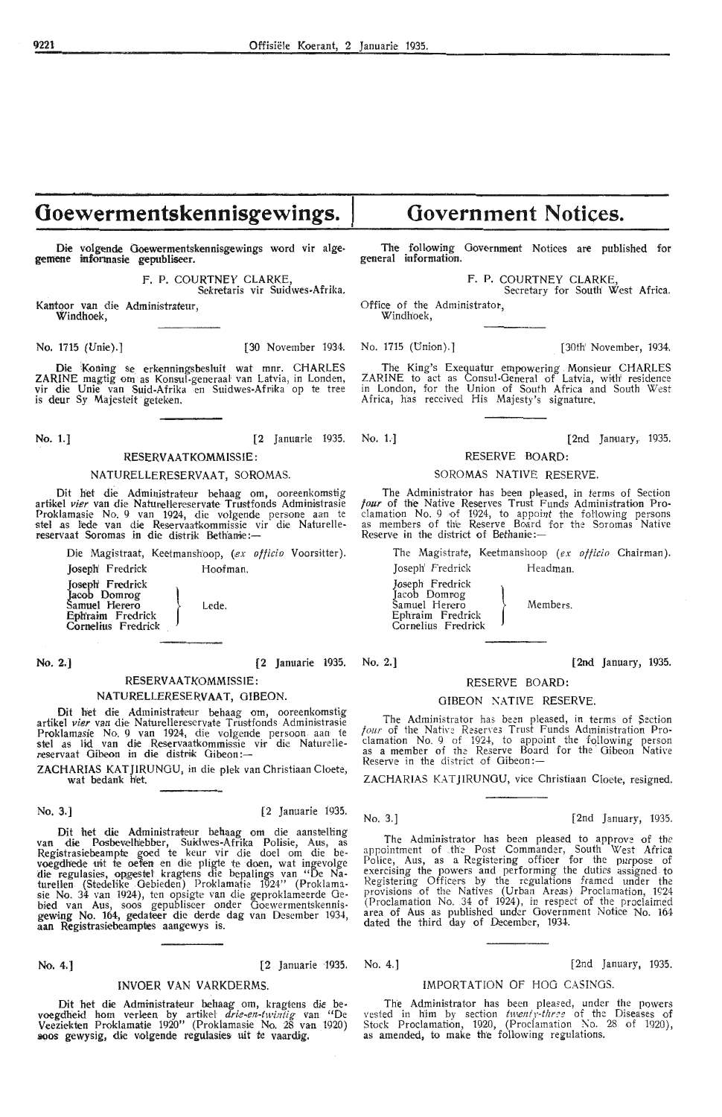## **Ooewermentskennisgewings.**

Die volgende Goewermentskennisgewings word vir algegemene informasie gepubliseer.

> F. P. COURTNEY CLARKE Sekretaris vir Suidwes-Afrika.

Kantoor van die Administrateur, Windhoek,

No. 1715 (Unie).] [30 November 1934. No. 1715 (Union).] [30th' November, 1934.

Die Koning se erkenningsbesluit wat mnr. CHARLES ZARINE magtig om as Konsul-generaal van Latvia, in Londen, vir die Unie van Suid-Afrika en Suidwes-Afrika op te tree<br>is deur Sy Majesteit geteken.

**No. 1.]** [2 Januarie 1935. No. 1.] [2nd January, 1935.

### RESERV AATKOMMISSIE:

#### NATURELLERESERVAAT, SOROMAS.

Dit het die Administrateur behaag om, ooreenkomstig artikel vier van die Naturellereservate Trustfonds Administrasie Proklamasie No. 9 van 1924, die volgende persone aan te<br>stel as Jede van die Reservaatkommissie vir die Naturellestel as lede van die Reservaatkommissie veservaat Soromas in die distrik Beth'anie:--

Die Magistraat, Keetmanshoop, (*ex officio* Voorsitter).

Joseph' Fredrick Hoofman. Joseph' Fredrick Jacob Domrog Samuel Herero Eph'raim Fredrick Jacob Domrog<br>Samuel Herero<br>Ephraim Fredrick Lede.<br>Cornelius Fredrick

No. 2.] [2 Januarie 1935. No. 2.] [2nd January, 1935.

## **RESERV AATKOMMISSIE:**

**NATURELLERESERVAAT, GIBEON.** 

Dit het die Administrateur behaag om, ooreenkomstig<br>artikel vier van die Naturellereservate Trustfonds Administrasie artikel *vier* van die Naturellereservate Trustfonds Administrasie<br>Proklamasie No. 9 van 1924, die volgende persoon aan te stel as lid van die Reservaatkommissie vir die Naturelle<br>reservaat Gibeon in die distrik Gibeon:—

ZACHARIAS KATJIRUNGU, in die plek van Christiaan Cloete, wat bedank het.

#### No. 3.] [2 Januarie 1935.

Dit het die Administrateur behaag om die aanstelling<br>van die Posbevelhiebber, Suidwes-Afrika Polisie, Aus, as<br>Registrasiebeampte goed te keur vir die doel om die bevoegdhede uit te oefen en die pligte te doen, wat ingevolge die regulasies, opgestel kragtens die bepalings van "De Naturellen (Stedelike Gebieden) Proklamatie 1924" (Proklama sie No. 34 van 1924), ten opsigte van die geproklameerde Gebied van Aus, soos gepubliseer onder Goewermentskennisgewing No. 164, gedateer die derde dag van Desember 1934, aan Registrasiebeamptes aangewys is.

#### INVOER VAN VARKDERMS.

Dit het die Administrateur behaag om, kragtens die bevoegdheid hom verleen by artikel drie-en-twintig van "De Veeziekten Proklamatie 1920" (Proklamasie No. 28 van 1920) soos gewysig, die volgende regulasies uit te vaardig.

# **Government Notices.**

The following Government Notices are published for general information.

F. P. COURTNEY CLARKE

Secretary for South West Africa.

Office of the Administrator, Windhoek,

. The King's Exequatur empowering Monsieur CHARLES ZARINE to act as Consul-General of Latvia, with' residence in London, for the Union of South Africa and South West Africa, has received His Majesty's signature.

## RESERVE BOARD:

#### SOROMAS NATIVE RESERVE.

The Administrator has been pleased, in terms of Section four of the Native Reserves Trust Funds Administration Proclamation No. 9 of 1924, to appoint the following persons as members of the Reserve Board for the Soromas Native Reserve in the district of Bethanie:-

The Magistrate, Kedmanshoop *(ex officio* Chairman). Joseph' Fredrick Headman.

Members.

Jos•eph Fredrick Joseph' Fredrick<br>Joseph Fredrick<br>Jacob Domnog<br>Samuel Herero Samuel Herero Ephraim Fredrick Cornelius Fredrick

#### RESERVE **BOARD:**

#### GIBEON NATIVE RESERVE.

The Administrator has been pleased, in terms of Section  $four$  of the Native Reserves Trust Funds Administration Proclamation No. 9 of 1924, to appoint the following person as a member of the Reserve Board for the Gibeon Native Reserve in the district of Gibeon:-

ZACHARIAS KATJIRUNGU, vice Christiaan Cloete, resigned.

No. 3.] [2nd January, 1935.

The Administrator has been pleased to approve of the appointment of the Post Commander, South West Africa Police, Aus, as a Registering offioer for the purpose of exercising the powers and performing the duties assigned to Registering Officers by the regulations framed under the provisions of the Natives (Urban Areas) Proclamation, 1924 (Proclamation No. 34 of 1924), in respect of the proclaimed area of Aus as published under Government Notice No. 16-1 dated the third day of Deoember, 1934.

No. 4.] (2 Januarie ·1935. No. 4.] [2nd January, 1935.

#### IMPORTATION OF HOO CASINGS.

The Administrator has been pleased, under the powers vested in him by section *twenty-three* of the Diseases of Stock Proclamation, 1920, (Proclamation No. 28 of 1920), as amended, to make the following regulations.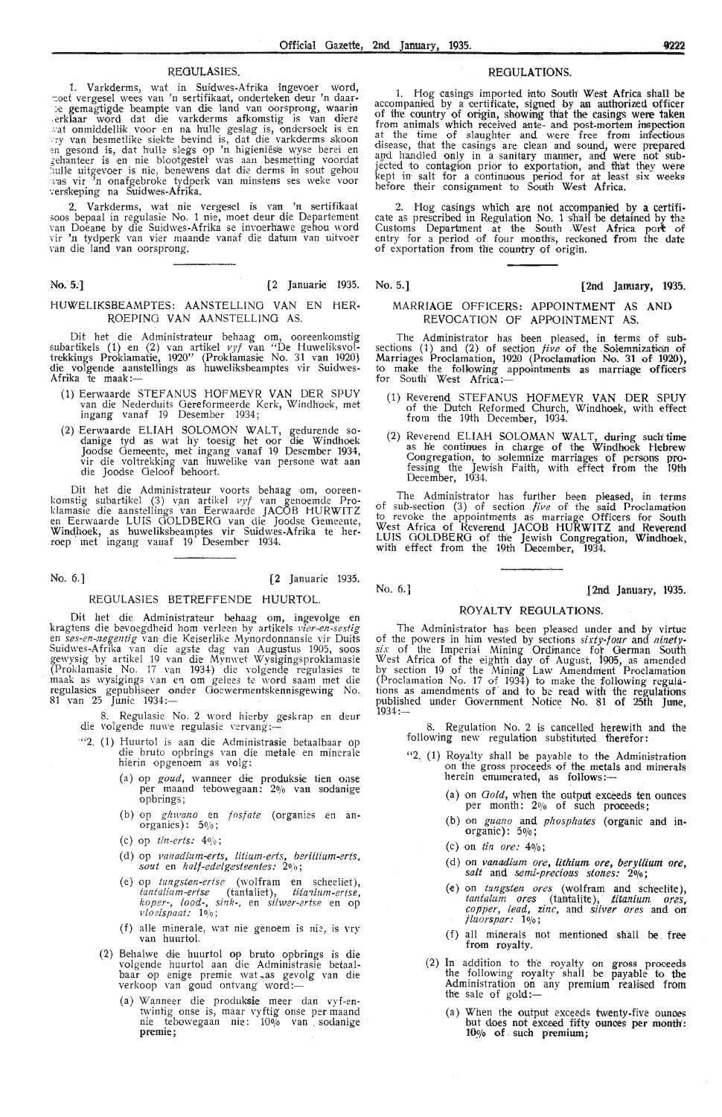1. Varkderms, wat in Suidwes-Afrika ingevoer word,<br>
toet vergesel wees van 'n sertifikaat, onderteken deur 'n daar-<br>
the gemagtigde beampte van die land van oorsprong, waarin<br>
terklaar word dat die varkderms afkomstig is v hulle uitgevoer is nie, benewens dat die derms in sout gehou<br>was vir 'n onafgebroke tydperk van minstens ses weke voor<br>verskeping na Suidwes-Afrika.

2. Varkderms, wat nie vergesel is van 'n sertifikaat 500s bepaal in regulasie No. 1 nie, moet deur die Departement<br>van Doeane by die Suidwes-Afrika se invoerhawe gehou word vir 'n tydperk van vier maande vanaf die datum van uitvocr van die land van oorsprong.

#### No. 5.'] (2 Januari,e 1935. No. 5.] **[2nd January, 1935.**

#### HUWELIKSBEAMPTES: AANSTELLINO VAN EN HER-ROEPINO VAN AANSTELLING AS.

Dit het die Administrateur behaag om, ooreenkomstig subartikels (1) en (2) van artikel vyf van "De Huweliksvoltrekkings Proklamatie, 1920" (Proklamasie No. 31 van 1920} die volgende aanstellings as huweliksbeamptes vir Suidwes-<br>Afrika te maak:—

- (1) Eerwaarde STEFANUS HOFMEYR VAN DER SPUY van di•e Nederduits Oereformeerde Kerk, Windhoek, met ingang vanaf 19 Desember 1934;
- (2) Eerwaarde ELIAH SOLOMON WALT, gedurende so- danige tyd as wat hy toesig het oor die Windhoek Joodse Gemeente, met ingang vanaf 19 Desember 1934, vir die voltrekking van huwelike van persone wat aan die Joodse Geloof behoort.

Dit het die Administrateur voorts behaag om, ooreen-<br>komstig subartikel (3) van artikel *vyf* van genoemde Proklamasie die aanstellings van Eerwaarde JACOB HURWITZ<br>en Eerwaarde LUIS GOLDBERG van die Joodse Gemeente, Windhoek, as huweliksbeamptes vir Suidwes-Afrika te herroep met ingang vanaf 19 Desember 1934.

**No.** 6.] **(2** Januarie 1935.

#### REGULASIES BETREFFENDE HUURTOL.

Dit het die Administrateur behaag om, ingevolge en<br>kragtens die bevoegdheid hom verleen by artikels *vier-en-sestig* en *ses-en-,iegentig* van die Keiserlike Mynordonnansie vir Duits Suidwes-Afrika van die agste dag van Augustus 1905, soos gewysig by artikel 19 van die Mynwet Wysigingsproklamasie (Proklamasie No. 17 van 1934) die volgende regulasies te maak as wysigings van en om gelees te word saam met die regulasies gepubliseer onder Goewermentskennisgewing No. 81 van 25 Junie 1934:—

die 8. Regulasie No. 2 word hierby geskrap en deur volgende nuwe regulasie vervang:-

- "2, ( 1) Huurtol is aan die Administrasie betaalbaar op die bruto opbrings van die metale en minerale hierin opgenoem as volg:
	- (a) op *goud,* wanneer die produksie tien oase per maand tebowegaan: 20/o van sodanige -op brings;
	- (b) op *ghwano* en *fosfate* (organies en an-<br>organies): 5%;
	- (c) op *tin-erts:* 40/o;
	- (d) op *Fanadi:Um-erts, litium-erts, beriUium-erts, sout* en *half-edelgesteentes*: 20/0;
	- (e) op *tungsten-ertse* (wolfram en scheeliet),  $t$ *antalium-ertse* (tantaliet), *titanium-ertse*, *koper-,* to ad-, *sink-,* en *silwer-ertse* en op *vloeispaat:* 1 O/o;
	- (f) alle minerale, wat nie genoem is nie, is vry van huurtol.
	- (2) Behalwe die huurtol op bruto opbrings is die volgende huurtol aan die Administrasie betaal-<br>baar op enige premie wat as gevolg van die<br>verkoop van goud ontvang word:—
		- (a) Wanneer die produksie meer dan vyf-entwintig onse is, maar vyftig onse per maand nie tebowegaan nie: 10% van sodanige **premie;**

#### REGULASIES. REGULATIONS.

1. Hog casings imported into South West Africa shall be accompanied by a certificate, signed by an authorized officer of the country of origin, showing that the casings were taken from animals which received ante- and post-mortem inspection at the time of slaughter and were free from infectious disease, that the casings are clean and sound, were prepared and handled only in a sanitary manner, and were not sub-<br>jected to contagion prior to exportation, and that they were<br>kept in salt for a continuous period for at least six weeks before their consignment to South West Africa.

2. Hog casings which are not accompanied by a certificate as prescribed in Regulation No. 1 shall be detained by the Customs Department at the South West Africa port of entry for a period of four months, reckoned from the date of exportation from the country of origin.

## MARRIAGE OFFICERS: APPOINTMENT AS **AND**  REVOCATION Of APPOINTMENT AS.

The Administrator has been pleased, in terms of subsections (1) and (2) of section *five* of the Solemnization of Marriages Proclamation, 1920 (Prodamation No. 31 of 1920), to make the following appointments as marriage offioers for South' West Africa:-

- ( 1) Reverend STEFANUS HOFMEYR VAN DER SPUY of the Dutch Reformed Church, Windhoek, with effect from the 19th December, 1934.
- (2) Reverend ELIAH SOLOMAN WALT, during such time as he continues in charge of the Windhoek Hebrew Congregation, to solemnize marriages of persons professing the Jewish Faith, with effect from the 19th<br>December, 1934.

The Administrator has further been pleased, in terms of sub-section  $(3)$  of section *five* of the said Proclamation to revoke the appointments as marriage Officers for South West Africa of Reverend JACOB HURWITZ and Reverend LUIS GOLDBERG of the Jewish Congregation, Windhoek, with effect from the 19th December, 1934.

No. 6.] [2nd January, 1935.

#### ROYALTY REGULATIONS.

The Administrator has been pleased under and by virtue of the powers in him vested by sections sixty-four and *ninety*six of the Imperial Mining Ordinance for German South West Africa of the eighth day of August, 1905, as amended by section 19 of the Mining Law Amendment Proclamation (Proclamation No. 17 of\_ 1934) to make the following regulations as amendments of and to be read with the regulations published under Government Notice No. 81 of 25th June,  $1934:$ 

8. Regulation No. 2 is cancelled herewjth and the following new regulation substituted therefor:

- "2. (1) Royalty shall be payable to the Administration on the gross proceeds of the metals and minerals herein enumerated, as follows:-
	- (a) on  $Gold$ , when the output exceeds ten ounces per month:  $2\%$  of such proceeds;
	- (b) on *guano* and *phosphates* (organic and in-<br>organic): 5%;
	- (c) on *tin ore:* 40/o;
	- (d) on *vanadium ore*, *lithium ore*, *beryllium ore*, salt and semi-precious stones:  $2\frac{6}{6}$ ;
	- (e) on *tungsten ores* (wolfram and scheelite), tantalum ores (tantalite), titanium ores, *copper,* lead, *zinc,* and *Sil\l;er ores* and on *fluorspar:* lo;o;
	- (f) all minerals not mentioned shall be free from royalty.
	- (2) In addition to the royalty on gross proceeds the following royalty shall be payable to the Administration on any premium realised from the sale of gold:-
		- (a) When the output exceeds twenty-five ounces but does not exceed fifty ounces per month: 10% of such premium;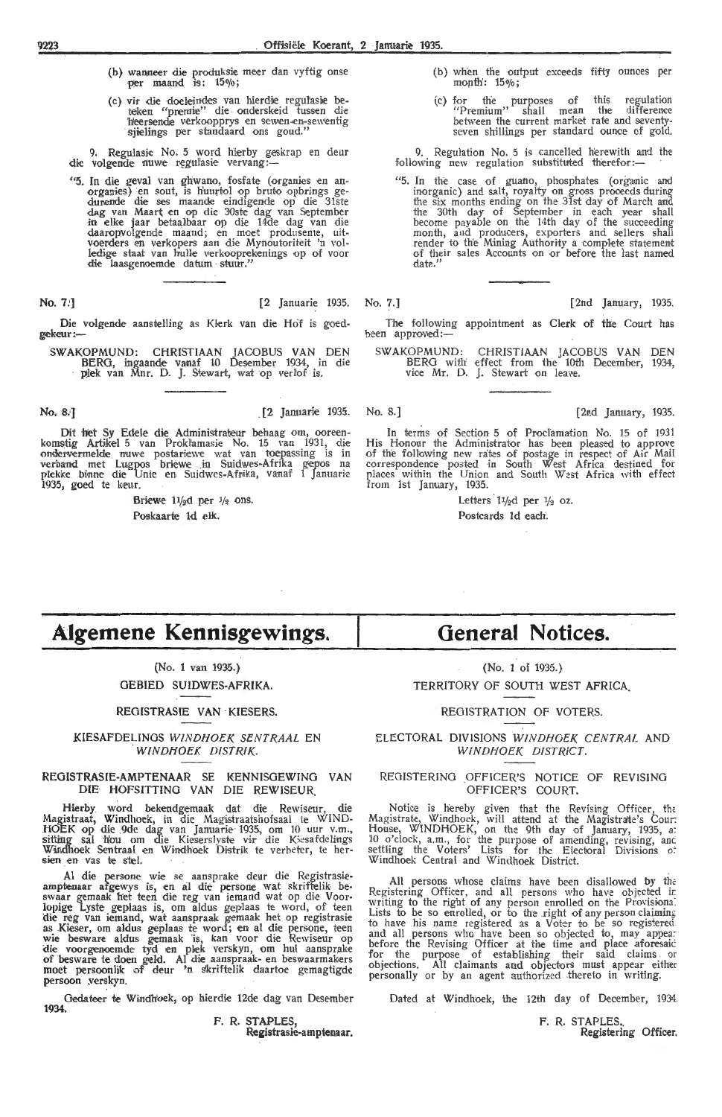- (b) wanneer die produksie meer dan vyftig onse per maand is: 150/o;
- (c) vir die doeleindes van hierdie regul'asie beteken "premie" die onderskeid tussen die heersende verkoopprys en sewen en-sewentig sjielings per standaard ons goud."

9. Regulasie No. 5 word hierby geskrap en deur<br>die volgende nuwe regulasie vervang :-

"5. In die geval van ghwano, fosfate (organies en an-<br>organies) en sout, is huurtol op bruto opbrings gedurende die ses maande eindigende op die 31ste dag van Maart en op die 30ste dag van September<br>in elke jaar betaalbaar op die 14de dag van die daaropvolgende maand; en moet produsente, uitvoerders en verkopers aan die Mynoutoriteit 'n volledige staat van hulle verkooprekenings op of voor die laasgenoemde datum stuur."

Die volgende aanstelling as Klerk van die Hof is goedgekeur :-

SWAKOPMUND: CHRISTIAAN JACOBUS VAN DEN BERO, ingaande- vanaf 10 Desember 1934, in die plek van Mnr. D. J. Stewart, wat op verl'of is.

Dit het Sy Edele die Administrateur behaag om, ooreen-<br>komstig Artikel 5 van Prokl'amasie No. 15 van 1931, die<br>ondervermelde nuwe postariewe wat van toepassing is in verband met Lugpos briewe in Suidwes-Afrika gepos na<br>plekke binne die Unie en Suidwes-Afrika, vanaf 1 Januarie 1935, goed te keur.

> Briewe  $11/2$ d per  $1/2$  ons. Poskaarte ld elk

- (b) when the output exoeeds fifty ounces per  $m$ onth:  $15\%$ :
- ( c) for the purposes of this regulation "Premium" shall mean the difference between the current market rate and seventy-<br>between shillings per standard ounce of gold.

9. Regulation No. 5 is cancelled herewith and the following new regulation substituted therefor:-

"5. In the case of guano, phosphates (organic and inorganic) and salt, royalty on gross prooe-eds during the six months ending on the 31st day of March and the 30th day of September in each year shall become payable on the 14th day of the succeeding month, and producers, exporters and sellers shall render to the Mining Authority a complek statement of their sales Accounts on or before the last named date<sup>?</sup>

No. 7i] [2 Januari,e 1935. No. 7.] [2nd January, 1935.

The following appointment as Clerk of the Court has been approved:-

SW AKOPMUND: CHRISTIAAN JACOBUS VAN DEN BERG with effect from the 10th December, 1934, vice Mr. D. J. Stewart on leave.

**No. 8.] 12 Januarie 1935.** No. 8.1 **12nd January, 1935. 12nd January**, 1935.

In terms of Section 5 of Proclamation No. 15 of 1931 His Honour the Administrator has been pleased to approve of the following new rates of postage in respect of Air Mail correspondence posted in South West Africa destined for places within the Union and South West Africa with effect from 1st January, 1935.

> Letters 11/<sub>2</sub> per 1/<sub>2</sub> oz. Postcards ld each.

## **Algemene Kennisgewings.**

{No. 1 van 1935.} GEBIED SUIDWES-AFRIKA.

#### REGISTRASIE **VAN ·** KIESERS.

KIESAFDELINGS WINDHOEK SENTRAAL EN WINDHOEK DISTRIK

#### REOISTRASIE-AMPTENAAR SE KENNISOEWINO VAN DIE HOFSITTINO VAN DIE REWISEUR.

Hierby word bekendgemaak dat die Rewiseur, die Magistraat, Windhoek, in die Magistraatshofsaal te WIND-HOEK op die 9de dag van Januarie 1935, om 10 uur v.m., sitting sal hou om die Kieserslyste vir die Kieserslehugs Windhoek Sentraal en Windhoek Distrik te verbeter, te her-<br>sien en vas te stel.

Al die persone wie se aansprake deur die Registrasie-<br>amptenaar afgewys is, en al die persone wat skriftelik be-<br>swaar gemaak het teen die reg van iemand wat op die Voor-<br>lopige Lyste geplaas is, om aldus geplaas te word, die reg van iemand, wat aanspraak gemaak het op registrasie as Kieser, om aldus geplaas te word; en al die persone, teen wie besware aldus gemaak is, kan voor die Rewiseur op die voorgenoemde tyd en plek verskyn, om hul aansprake of besware te doen geld. Al die aanspraak- en beswaarmakers moet persoonlik of deur 'n skriftelik daartoe gemagtigde persoon yerskyn.

Gedateer te Windhoek, op hierdie 12de dag van Desembe **1934.** 

> **F. R. STAPLES,**  Registrasie-amptenaar

## **General Notices.**

{No. 1 of 1935.) TERRITORY OF SOUTH WEST AFRICA.

#### REGISTRATION OF VOTERS

ELECTORAL DIVISIONS WINDHOEK CENTRAL AND WINDHOEK DISTRICT

#### REGISTERING OFFICER'S NOTICE OF REVISING OFFICER'S COURT.

Notice is hereby given that the Revising Officer, the Magistrate, Windhoek, will attend at the Magistrate's Cour: I-louse, WINDHOEK, on the 9th day of January, 1935, a: 10 o'clock, a.m., for the purpose of amending, revising, and settling the Voters' Lists for the Electoral Divisions of Windhoek Central and Windhoek District.

All persons whose claims have been disallowed by the Registering Officer, and all persons who have objected in writing to the right of any person enrolled on the Provisiona: Lists to be so enrolled, or to the right of any person claiming to have his name registered as a Voter to be so registered and all persons who have been so objected to, may appear before the Revising Officer at the time and place aforesaic. for the purpose of establishing their said claims or objections. All claimants and objectors must appear either personally or by an agent authorized thereto in writing.

Dated at Windhoek, the 12th day of December, 1934.

F. R. STAPLES Registering Officer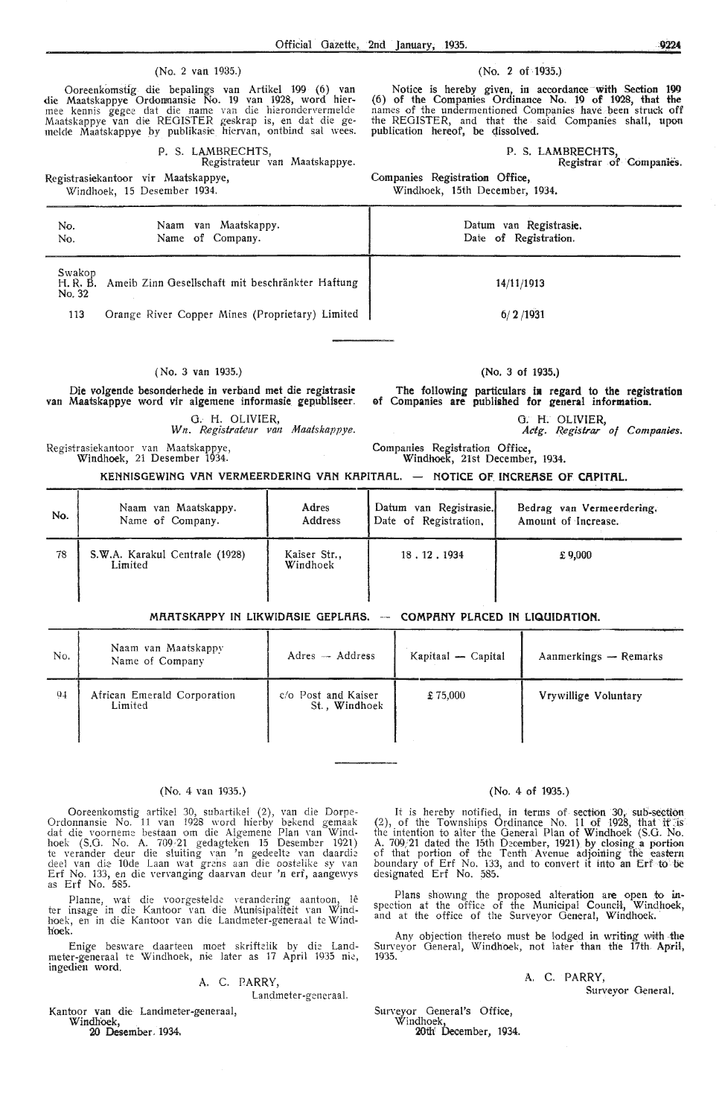#### (No. 2 van 1935.) (No. 2 of 1935.)

Ooreenkomstig die bepalings van Artikel 199 (6) van die Maatskappye Ordonmansie No. 19 van 1928, word hier-<br>mee kennis gegee dat die name van die hierondervermelde Maatskappye van die REGISTER geskrap is, en dat die gemelde Maatskappye by publikasie hiervan, ontbind sal wees.

P. S. LAMBRECHTS,

Registrateur van Maatskappye.

Registrasiekantoor vir Maatskappye, Windhoek, 15 Desember 1934.

Notice is hereby given, in accordance with Section 199 (6) of the Companies Ordinance No. 19 of 1928, that the names of the undermentioned Companies have been struck off the REGISTER, and that the said Companies shall, upon publication hereof, be qissolved.

#### P. S. LAMBRECHTS

Registrar of Companies.

Companies Registration Office, Windhoek, 15th December, 1934.

| No.<br>No.                   | Naam van Maatskappy.<br>Name of Company.         | Datum van Registrasie.<br>Date of Registration. |
|------------------------------|--------------------------------------------------|-------------------------------------------------|
| Swakop<br>H. R. B.<br>No. 32 | Ameib Zinn Gesellschaft mit beschränkter Haftung | 14/11/1913                                      |
| 113                          | Orange River Copper Mines (Proprietary) Limited  | 6/2/1931                                        |
|                              |                                                  |                                                 |

#### ( No. 3 van 1935.)

Die volgende besonderhede in verband met die **registrasie** van Maatskappye word vir algemene informasie gepubliseer.

0. H. OLIVIER, Wn. Registrateur van Maatskappye.

Registrasiekantoor van Maatskappye,<br>Windhoek, 21 Desember 1934.

#### (No. 3 of 1935,)

The following particulars **ia regard** to **the registration**  ef Companies are published for general information.

> G. H. OLIVIER, *Actg. R.egis'trar of Companies.*

Companies Registration Office,<br>Windhoek, 21st December, 1934.

KENNISGEWING VAN VERMEERDERING VAN KAPITAAL. - NOTICE OF INCREASE OF CAPITAL.

| No. | Naam van Maatskappy.                      | Adres                    | Datum van Registrasie. | Bedrag van Vermeerdering. |
|-----|-------------------------------------------|--------------------------|------------------------|---------------------------|
|     | Name of Company.                          | Address                  | Date of Registration,  | Amount of Increase.       |
| 78  | S.W.A. Karakul Centrale (1928)<br>Limited | Kaiser Str.,<br>Windhoek | 18.12.1934             | £9,000                    |

#### **MRATSKAPPY IN LIKWIDASIE GEPLAAS. -- COMPANY PLACED IN LIQUIDATION.**

| No.            | Naam van Maatskappv<br>Name of Company | $Adres - Address$                    | Kapitaal - Capital | Aanmerkings - Remarks |
|----------------|----------------------------------------|--------------------------------------|--------------------|-----------------------|
| 0 <sub>4</sub> | African Emerald Corporation<br>Limited | c/o Post and Kaiser<br>St., Windhoek | £75,000            | Vrywillige Voluntary  |

#### (No. 4 van 1935.)

Ooreenkomstig artikel 30, subartikel (2), van die Dorpe-Ordonnansie No. 11 van 1928 word hierby bekend gemaak dat die voorneme bestaan om die Algemene Plan Yan Windhoek (S.G. No. A. 709/21 gedagteken 15 Desember 1921) te verander deur die sluiting van 'n gedeelte van daardie<br>deel van die 10de Laan wat grens aan die oostelike sy van<br>Erf No. 133, en die vervanging daarvan deur 'n erf, aangewys<br>as Erf No. 585.

Planne, wat die voorgestelde verandering aantoon, lêter insage in die Kantoor van die Munisipaliteit van Wind-<br>hoek, en in die Kantoor van die Landmeter-generaal te Windhoek.

Enige besware daarteen moet skriftclik bv die Landmeter-generaal te Windhoek, nie later as 17 April 1935 nie,<br>ingedien word.

#### A. C. PARRY,

l.andmeter-generaal.

Kantoor van die Landmeter-generaal, Windhoek,

20 Desember. 1934.

#### (No. 4 of 1935.)

It is hereby notified, in terms of section 30, sub-section (2), of the Townships Ordinance No. 11 of 1928, that it is the intention to alter the General Plan of Windhoek (S.G. No. A. 709/21 dated the 15th December, 1921) by closing a portion of the Tenth Avenue adjoining the eastern boundary of Erf No. 133, and to convert it into an Erf to be designated Erf No. 585.

Plans showing the proposed alteration are open to inspection at the office of the Municipal Council, Windhoek, and at the office of the Surveyor General, Windhoek.

Any objection thereto must be lodged in writing with the Surveyor General, Windhoek, not later than the 17th April,<br>1935.

A. C. PARRY;

Surveyor General.

Surveyor General's Office,

Windhoek, 20th' December, 1934.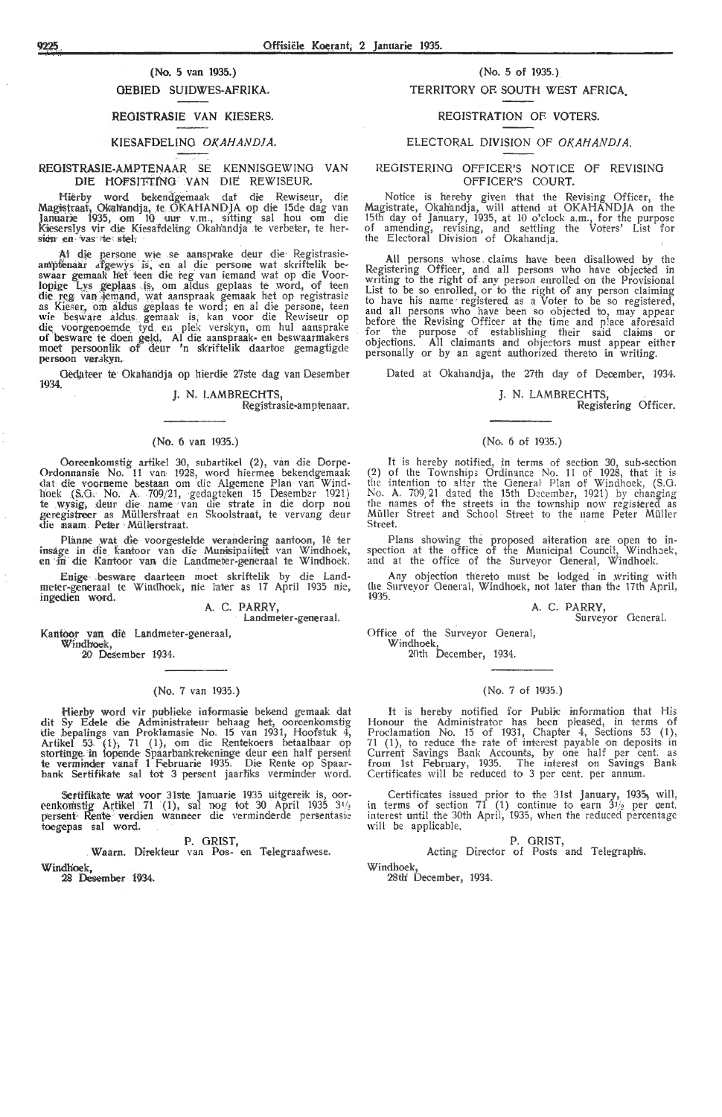## (No. 5 van 1935.)

## OEBIED SUIDWES-AFRIKA.

#### REOISTRASIE VAN KIESERS.

#### KIESAFDELING OKAHANDJA.

#### REOISTRASIE-AMPTENAAR SE KENNISGEWING VAN DIE HOfSITTfNO VAN DIE REWISEUR.

Hierby word bekendgemaak dat die Rewiseur, die<br>Magistraat, Okahandja, te OKAHANDJA op die 15de-dag van<br>Januarie 1935, om 10 uur v.m., sitting sal hou om die Kieserslys vir die Kiesafdeling Okah'andja te verbeter, te hersien en vas te steh

Al die persone wie se aansprake deur die Registrasieampfenaar afgewys is, en al die persone wat skriftelik be-<br>swaar gemaak het teen die reg van iemand wat op die Voorlopige Lys geplaas is, om aldus geplaas te word, of teen die reg van Jemand, wat aanspraak gemaak het op registrasie as Kieser, om aldus geplaas te word; en al die persone, teen wie besware aldus gemaak is, kan voor die Rewiseur op die voorgenoemde tyd en plek verskyn, om hul aansprake of besware te doen geld, Al die aanspraak- en beswaarmakers moet persoonlik ,of' deur 'n slk'riftelik daartoe gemagtigde persoon verskyn.

Gedateer te Okahandja op hierdie 27ste dag van Desember 1934.

J. N. LAMBRECHTS,

Registrasie-amptenaar.

#### (No. 6 van 1935.)

Ooreenkomstig artikel 30, subartikel (2), van die Dorpe-Ordonnansie No. 11 van 1928, word hiermee bekendgemaak dat die voorneme bestaan om die Algemene Plan van Windhoek (S.O. No. A. 709/21, gedagteken 15 Desember 1921)<br>te wysig, deur die name van die strate in die dorp nou geregistreer as Müllerstraat en Skoolstraat, te vervang deur die naam. Peter Müllerstraat.

Planne wat die voorgestelde verandering aantoon, lê ter insage in die kantoor van die Munisipaliteit van Windhoek,<br>en in die Kantoor van die Landmeter-generaal te Windhoek.

Enige besware daarteen moet skriftelik by die Landmeter-generaal te Windhoek, nie later as 17 April 1935 nie, ingedien word.

A. C. PARRY, Landmeter-generaal.

Kantoor van die Landmeter-generaal, Windhoek,

20 Desember 1934.

#### (No. 7 van 1935.)

Hierby word vir publieke informasie bekend gemaak dat dit Sy Edele die Administrateur behaag het, ooreenkomstig die bepalings van Proklamasie No. 15 van 1931, Hoofstuk 4, Artikel 53. (1), 71 (1), om die Rentekoers betaalbaar op stortinge in 1opende Spaarbankrekeninge deur een half persent te verminder vanaf 1 Februarie 1935. Die Rente op Spaar-<br>bank Sertifikate sal tot 3 persent jaarliks verminder word.

Sertifikate wat voor 31ste Januarie 1935 uitgereik is, oor-<br>eenkoriistig Artikel 71 (1), sal nog tot 30 April 1935 31/2 persent Rente verdien wanneer die verminderde persentasie toegepas sal word.

P. GRIST,

Waarn. Direkteur van Pos- en Telegraafwese. Windhoek,

28 Desember 1934.

#### (No. 5 of 1935.) TERRITORY OR SOUTH WEST AFRICA.

#### REGISTRATION OF VOTERS.

#### ELECTORAL DIVISION OF *OKAHANDJA.*

#### REGISTERING OFFICER'S NOTICE OF REVISING OFFICER'S COURT.

Notice is hereby given that the Revising Officer, the Magistrate, Okah'andja, will attend at OKAHANDJA on the 15th day of January, 1935, at 10 o'clock a.m., for the purpose of amending, revising, and settling the Voters' List for the Electoral Division of Okahandja.

All persons whose claims have been disallowed by the Registering Officer, and all persons who have objected in writing to the right of any person enrolled on the Provisional List to be so enrolled, or to the right of any person claiming to have his name · registered as a Voter to be so registered, and all persons who have been so objected to, may appear before the Revising Officer at the time and place aforesaid<br>for the purpose of establishing their said claims or objections. All claimants and objectors must appear either personally or by an agent authorized thereto in writing.

Dated at Okahandja, the 27th day of December, 1934.

J. N. LAMBRECHTS,

Registering Officer.

#### (No. 6 of 1935.)

It is hereby notified, in terms of section 30, sub-section (2) of the Townships Ordinance No. 11 of 1928, that it is the intention to alter the General Plan of Windhoek, (S.G. No. A. 709,21 dated the 15th December, 1921) by changing<br>the names of the streets in the township now registered as Müller Street and School Street to the name Peter Müller Street.

Plans showing the proposed alteration are open to in-<br>spection at the office of the Municipal Council, Windhoek, and at the office of the. Surveyor General, Windhoek.

Any objection thereto must be lodged in writing with the Surveyor General, Windhoek, not later than the 17th April, 1935.

A. C. PARRY, Surveyor General.

Office of the Surveyor General, Windhoek,

20th December, 1934.

#### (No. 7 of 1935.)

It is hereby notified for Public information that His Honour the Administrator has been pleased, in terms of Proclamation No. 15 of 1931, Chapter 4, Sections 53 (1), 71 (1), to reduce the rate of interest payable on deposits in Current Savings Bank Accounts, by one half per cent. as from 1st February, 1935. The interest on Savings Bank Certificates will be reduced to 3 per cent. per annum.

Certificates issued prior to the 31st January, 1935, will, in terms of section 71 (1) continue to earn  $31/2$  per cent. interest until the 30th April, 1935, when the reduced peroentage will be applicable.

P. GRIST,<br>Acting Director of Posts and Telegraph's.

Windhoek, 28th' December, 1934.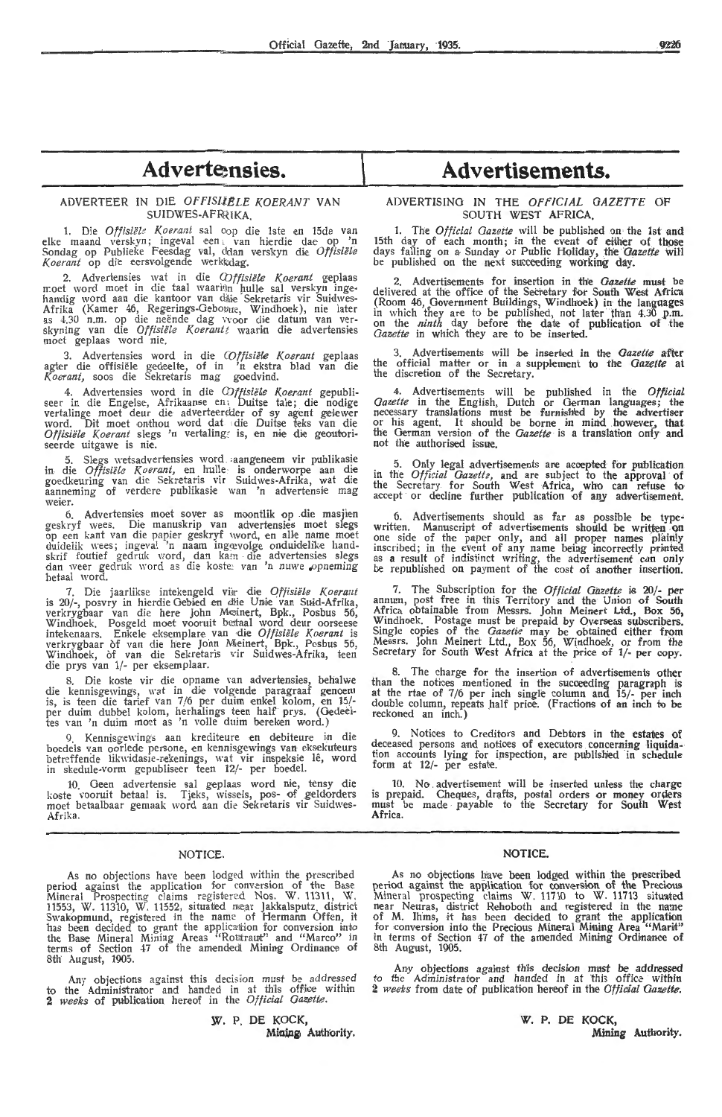## Adverte<sub>nsies.</sub>

#### ADVERTEER IN DIE OFFISLIELE KOERANT VAN SUIDWES-AFR<sub>7</sub>IKA.

1. Die *Offisiële Koerant* sal oop die 1ste en 15de van elke maand verskyn; ingeval een van hierdie dae op 'n<br>Sondag op Publieke Feesdag val, cdan verskyn die *Offisiële* Koerant op die eersvolgende werkkdag.

2. Advertensies wat in die *Offisiële Koerant* geplaas moet word moet in die taal waarinn hulle sal verskyn ingehandig word aan die kantoor van dilie Sekretaris vir Suidwes-Afrika (Kamer 46, Regerings-Gebowue, Windhoek), nie later as 4.30 n.m. op die neënde dag vvoor die datum van ver-<br>skyning van die *Offisiële Koerantt* waarin die advertensies moet geplaas word nie,

3. Advertensies word in die *Offisiële Koerant* geplaas agter die offisiële gedeelte, of in 'n ekstra blad van die *Koerant,* soos die Sekretaris mag goedvind.

4. Advertensies word in die *Offisiële Koerant* gepubli-<br>seer in die Engelse, Afrikaanse en Duitse tale; die nodige vertalinge moet deur die adverteerder of sy agent gelewer word. Dit moet onthou word dat die Duitse teks van die *Offisiële Koerant* slegs 'n vertaling, is, en nie die geoutoriseerde uitgawe is nie.

5. Slegs \\'etsadvertensi-es word ,aangene•em vir publikasi,e in- die *Offisiele Koerant,* en hulk is onderworpe aan die goedkeuring van die Sekretaris vir Suidwes-Afrika, wat die aanneming of verdere publikasie wan 'n advertensie mag weier.

6. Advertensies moet sover as moontlik op die masjien geskryf wees. Die manuskrip van advertensies moet slegs op een kant van die papier geskryf word, en alle name moet duidelik wees; ingeval 'n naam ingevolge onduidelike handskrif foutief gedruk word, dan kam die advertensies slegs dan weer gedruk word as die koste, van 'n nuwe opneming hetaal word.

7. Die jaarlikse intekengeld viur die *0ffisiele Koera:1t*  is 20/-, posvry in hierdie Gebied en die Unie van Suid-Afrika, verkrygbaar van die here John Meinert, Bpk., Posbus 56, Windhoek. Posgeld moet vooruit betaal word deur oorseese intekenaars. Enkele eksemplare van die *Offisiële Koerant* is verkrygbaar of van die here John Meinert, Bpk., Posbus 56, Windhoek, of van die Sekretaris vir Suidwes-Afrika, teen die prys van 1/· per eksemplaar.

8. Die koste vir die opname van advertensies, behalwe<br>die kennisgewings, wat in die volgende paragraaf genoem is, is teen die tarief van 7/6 per duim enkel kolom, en 15/per duim dubbel kolom, herhalings teen half prys. (Oedeeltes van 'n duim moet as 'n volle duim bereken word.)

Kennisgewings aan krediteure en debiteure in boedels van oorlede persone, en kennisgewings van eksekuteurs betreffende likwidasie-rekenings, wat vir inspeksie lê, word in skedule-vorm gepubliseer teen 12/- per boedel.

10. Geen advertensie sal geplaas word nie, tensy die<br>koste vooruit betaal is. Tjeks, wissels, pos- of geldorders moet betaalbaar gemaak word aan die Sekretaris vir Suidw-es-Afrika.

#### NOTICE.

As no objections have been lodged within the prescribed period against the application for conversion of the Base Mineral Prospecting claims registered Nos. W. 11311, W. 11553, W. 11310, W. 11552, situatied mear Jakkalsputz. district Swakopmund, registered in the name of Hermann Offen, it has been decided to grant the application for conversion into the Base Mineral Mining Areas "Rottraut" and "Marco" in terms of Section 47 of the amended! Mining Ordinance of 8th August, 1905.

Any objections against this decision must be addressed to the Administrator and handed in at this office within **2** *weeks* of publication her,eof in the Official Gazette.

## Advertisements.

#### ADVERTISING IN THE *OFFICIAL GAZETTE* OF SOUTH WEST AFRICA.

1. The *Official Gazette* will be published on the 1st and 15th day of each month; in the event of either of those days falling on a Sunday or Public Holiday, the *Gazette* will be published on the next succeeding working day.

2. Advertisements for insertion in the *Gazette* must be delivered at the office of the Secretary for South West Africa (Room 46, Government Buildings, Windhoek) in the languages in which they are to be published, not later than 4.30 p.m.<br>on the *ninth* day before the date of publication of the Gazette in which they are to be inserted.

3. Advertisements will be inserted in the *Gazette* after the official matter or in a supplement to the *Gazette* at the discretion of the Secretary.

4. Advertisements will be published in the *0fticial Gazette* in the Eng!i,sh, Dutch or German languages; the necessary translations must be furnished by the advertiser or his agent. It should be borne in mind however, that the German version of the *Gazette* is a translation only and not the authorised issue.

5. Only legal advertisements are acoepted for publication in the *Official Gazette*, and are subject to the approval of the Secretary for South West Africa, who can refuse to<br>accept or decline further publication of any advertisement.

6. Advertisements should as far as possible be typewritten. Manuscript of advertisements should be written on one side of the paper only, and all proper names plainly inscribed; in the event of any name being incorrectly printed as a result of indistinct writing, the advertisement can only be republished on payment of the cost of another insertion.

7. The Subscription for the *Official Gazette* is 20/- per annum, post free in this Territory and the Union of South Africa obtainable from Messrs. John Meinert Ltd., Box 56, Windhoek. Postage must be prepaid by Overseas subscribers.<br>Single copies of the *Gazette* may be obtained either from<br>Messrs. John Meinert Ltd., Box 56, Windhoek, or from the Secretary for South West Africa at the price of 1/- per copy.

8. The charge for the insertion of advertisements other than the notices mentioned in the succeeding paragraph is at the rtae of 7 /6 per inch single column and 15/- per inch double column, repeats half price. (Fractions of an inch to be reckoned an inch.)

9. Notices to Creditors and Debtors in the estates of deceased persons and notices of executors concerning liquidation accounts lying for inspection, are published in schedule form at 12/- per estate.

10. No advertisement will be inserted unless the charge is prepaid. Cheques, drafts, postal orders or money orders must be made • payable to the Secretary for South West Africa.

#### **NOTICE.**

As no objections have been lodged within the prescribed period against the application for conversion of the Precious Mineral prospecting claims W. 11710 to W. 11713 situated near Neuras, district R,ehoboth and registered in the name of M. Ihms, it has been decided to grant the application for conversion into the Precious Mineral Mining Area "Marin"<br>in terms of Section 47 of the amended Mining Ordinance of 8th August, 1905.

Any objections against this decision must be addressed<br>to the Administrator and handed in at this office within 2 *weeks* from date of publication hereof in the Official Gazette.

> **W. P.** DE **KOCK, Mining** Authority.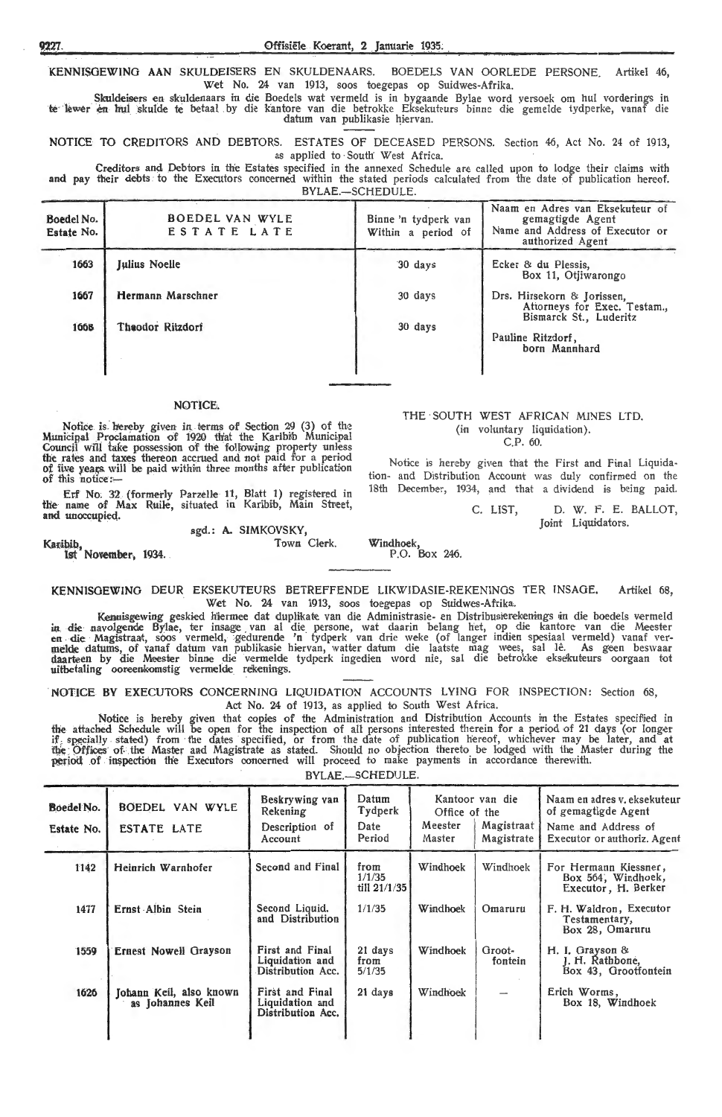**KENNISGEWING AAN** SKULDEISERS EN SKULDENAARS. BOEDELS VAN OORLEDE PERSONE. Artikel 46, Wet No. 24 van 1913, soos toegepas op Suidwes-Afrika.

Skuldeisers en skuldenaars in die Boedels wat vermeld is in bygaande Bylae word versoek om hul vorderings in te kwer en hul skulde te betaal by die kantore van die betrokke Eksekuteurs binne die gemelde tydperke, vanaf die datum van publikasie hiervan.

NOTICE TO CREDITORS AND DEBTORS. ESTATES OF DECEASED PERSONS. Section 46, Act No. 24 of 1913, as applied to South' West Africa.

Creditors and Debtors in the Estates specified in the annexed Schedule are called upon to lodge their claims with and pay their debts to the Executors concerned within the stated periods calculated from the date of publication hereof. BYLAE.-SCHEDULE.

| Boedel No.<br>Estate No. | BOEDEL VAN WYLE<br>ESTATE LATE | Binne 'n tydperk van<br>Within a period of | Naam en Adres van Eksekuteur of<br>gemagtigde Agent<br>Name and Address of Executor or<br>authorized Agent |
|--------------------------|--------------------------------|--------------------------------------------|------------------------------------------------------------------------------------------------------------|
| 1663                     | <b>Julius Noelle</b>           | 30 days                                    | Ecker & du Plessis,<br>Box 11, Otiiwarongo                                                                 |
| 1667                     | Hermann Marschner              | 30 days                                    | Drs. Hirsekorn & Jorissen,<br>Attorneys for Exec. Testam.,                                                 |
| 1668                     | Theodor Ritzdorf               | 30 days                                    | Bismarck St., Luderitz<br>Pauline Ritzdorf,<br>born Mannhard                                               |

#### **NOTlCE.**

Notice is hereby given in terms of Section 29 (3) of the<br>Municipal Proclamation of 1920 that the Karibib Municipal Council will take possession of the following property unless the rates and taxes thereon accrued and not paid for a period of five years will be paid within three months after publication of this notice :-

Erf No. 32 (formerly Parzelle 11, Blatt 1) registered in the name of Max Ruile, situated in Karibib, Main Street, and unoccupied.

## sgd.: **A.** SIMKOVSKY,

Karibib,<br>**1st November, 1934.** 

**KENNISGEWING DEUR EKSEKUTEURS BETREFFENDE LIKWIDASIE-REKENINGS TER INSAGE.** Artikel 68<br>Wet No. 24 van 1913, soos toegepas op Suidwes-Afrika. Wet No. 24 van 1913, soos toegepas op Suidwes-Afrika.

Kennisgewing geskied hiermee dat duplikate van die Administrasie- en Distribusierekenings in die boedels vermeld in die navolgende Bylae, ter insage van al die persone, wat daarin belang het, op die kantore van die Meester<br>en die Magistraat, soos vermeld, gedurende 'n tydperk van drie weke (of langer indien spesiaal vermeld) vanaf<br>me uitbetaling ooreenkomstig vermelde rekenings.

**NOTICE BY** EXECUTORS CONCERNING LIQUIDATION ACCOUNTS LYING FOR INSPECTION: Section 68, Act No. 24 of 1913, as applied to South West Africa.

Notice is hereby given that copies of the Administration and Distribution Accounts in the Estates specified in the attached Schedule will be open for the inspection of all persons interested therein for a period of 21 days (or longer if specially stated) from the dates specified, or from the date of publication hereof, whichever may be later, and at<br>the Offices of the Master and Magistrate as stated. Should no objection thereto be lodged with the Maste period of inspection the Executors concerned will proceed to make payments in accordance therewith.

BYLAE.-SCHEDULE.

| Boedel No.<br>Estate No. | BOEDEL VAN WYLE<br><b>ESTATE LATE</b>       | Beskrywing van<br>Rekening<br>Description of<br>Account | Datum<br>Tydperk<br>Date<br>Period     | Office of the<br>Meester<br>Master | Kantoor van die<br>Magistraat<br>Magistrate | Naam en adres v. eksekuteur<br>of gemagtigde Agent<br>Name and Address of<br>Executor or authoriz. Agent |
|--------------------------|---------------------------------------------|---------------------------------------------------------|----------------------------------------|------------------------------------|---------------------------------------------|----------------------------------------------------------------------------------------------------------|
| 1142                     | Heinrich Warnhofer                          | Second and Final                                        | from<br>1/1/35<br>$\frac{1}{1}$ 1/1/35 | Windhoek                           | Windhoek                                    | For Hermann Kiessner,<br>Box 564, Windhoek,<br>Executor, H. Berker                                       |
| 1477                     | Ernst Albin Stein                           | Second Liquid.<br>and Distribution                      | 1/1/35                                 | Windhoek                           | Omaruru                                     | F. H. Waldron, Executor<br>Testamentary,<br>Box 28, Omaruru                                              |
| 1559                     | <b>Ernest Nowell Grayson</b>                | First and Final<br>Liquidation and<br>Distribution Acc. | 21 days<br>from<br>5/1/35              | Windhoek                           | Groot-<br>fontein                           | H. I. Grayson &<br>J. H. Rathbone,<br>Box 43, Grootfontein                                               |
| 1626                     | Johann Keil, also known<br>as Johannes Keil | First and Final<br>Liquidation and<br>Distribution Acc. | 21 days                                | Windhoek                           | --                                          | Erich Worms,<br>Box 18, Windhoek                                                                         |

Town Clerk. Windhoek, P.O. Box 246.

THE SOUTH WEST AFRICAN MINES LTD. (in voluntary liquidation).  $CP$  60

Notice is hereby given that the First and Final Liquidation- and Distribution Account was duly confirmed on the 18th December, 1934, and that a dividend is being paid

> C. LIST, D. W. F. E. BALLOT, Joint Liquidators.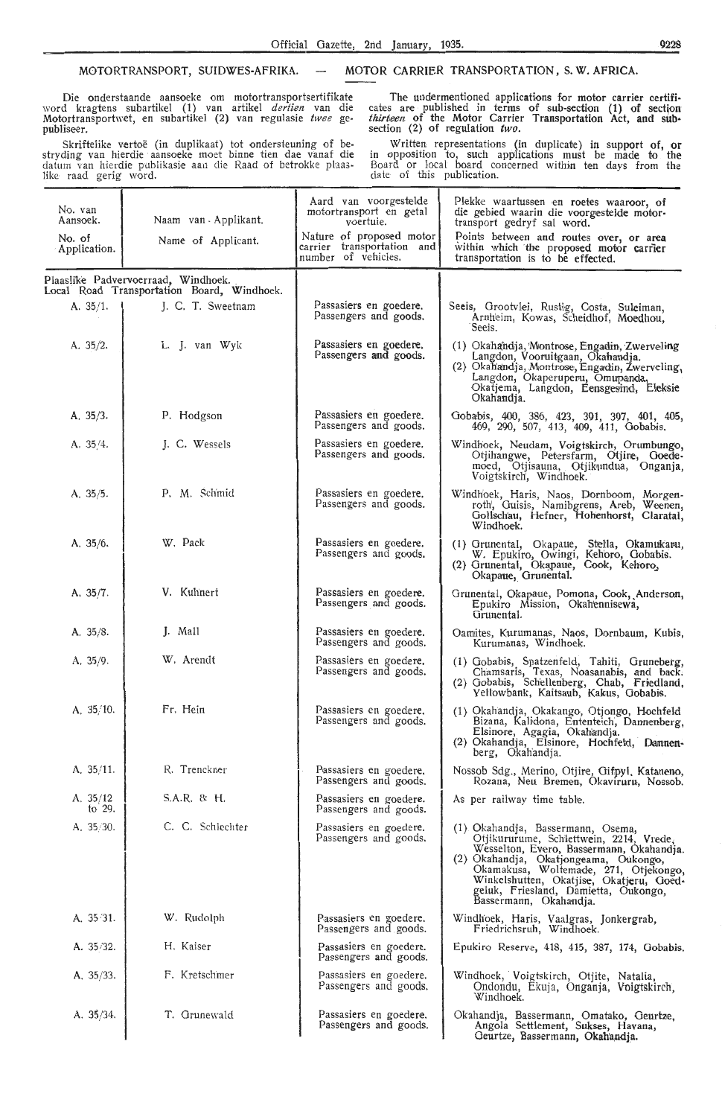Die onderstaande aansoeke om motortransportsertifikate word kragtens subartikel (1) van artikel *dertien* van die Motortransportwet, en subartikel (2) van regulasie *twee* gepubliseer.

Skriftelike vertoë (in duplikaat) tot ondersteuning of bestryding van hierdie aansoeke moet binne tien dae vanaf die datum van hierdie publikasie aan die Raad of betrokke plaas-<br>like raad gerig word.

MOTORTRANSPORT, SUIDWES-AFRIKA. - MOTOR CARRIER TRANSPORTATION, S. W. AFRICA.

The undermentioned applications for motor carrier certificates are published in terms of sub-section  $(1)$  of section *thirteen* of the Motor Carrier Transportation Act, and subsection (2) of regulation *two.* 

Written representations (in duplicate) in support of, or in opposition to, such applications must be made to the Board or local board concerned within ten days from the<br>date of this publication.

| No. van<br>Aansoek.    | Naam van Applikant.                                                               | Aard van voorgestelde<br>motortransport en getal<br>voertuie.                 | Plekke waartussen en roetes waaroor, of<br>die gebied waarin die voorgestelde motor-<br>transport gedryf sal word.                                                                                                                                                                                                       |
|------------------------|-----------------------------------------------------------------------------------|-------------------------------------------------------------------------------|--------------------------------------------------------------------------------------------------------------------------------------------------------------------------------------------------------------------------------------------------------------------------------------------------------------------------|
| No. of<br>Application. | Name of Applicant.                                                                | Nature of proposed motor<br>carrier transportation and<br>number of vehicles. | Points between and routes over, or area<br>within which the proposed motor carrier<br>transportation is to be effected.                                                                                                                                                                                                  |
|                        | Plaaslike Padvervoerraad, Windhoek.<br>Local Road Transportation Board, Windhoek. |                                                                               |                                                                                                                                                                                                                                                                                                                          |
| A. $35/1$ .            | J. C. T. Sweetnam                                                                 | Passasiers en goedere.<br>Passengers and goods.                               | Seeis, Grootvlei, Rustig, Costa, Suleiman,<br>Arnheim, Kowas, Scheidhof, Moedhou,<br>Seeis.                                                                                                                                                                                                                              |
| A. 35/2.               | L. J. van Wyk                                                                     | Passasiers en goedere.<br>Passengers and goods.                               | (1) Okahandja, Montrose, Engadin, Zwerveling<br>Langdon, Vooruitgaan, Okahandja.<br>(2) Okah'andja, Montrose, Engadin, Žwerveling,<br>Langdon, Okaperuperu, Omupanda,<br>Okatjema, Langdon, Eensgesind, Eleksie<br>Okahandja.                                                                                            |
| A. $35/3$ .            | P. Hodgson                                                                        | Passasiers en goedere.<br>Passengers and goods.                               | Gobabis, 400, 386, 423, 391, 397, 401, 405, 469, 290, 507, 413, 409, 411, Gobabis.                                                                                                                                                                                                                                       |
| A. 35/4.               | J. C. Wessels                                                                     | Passasiers en goedere.<br>Passengers and goods.                               | Windhoek, Neudam, Voigtskirch, Orumbungo,<br>Otjihangwe, Petersfarm, Otjire, Goede-<br>moed, Otjisauna, Otjikundua, Onganja,<br>Voigtskirch, Windhoek.                                                                                                                                                                   |
| A. 35/5.               | P. M. Schmid                                                                      | Passasiers en goedere.<br>Passengers and goods.                               | Windhoek, Haris, Naos, Dornboom, Morgen-<br>roth, Guisis, Namibgrens, Areb, Weenen,<br>Gollschau, Hefner, Hohenhorst, Claratal,<br>Windhoek.                                                                                                                                                                             |
| A, $35/6$ .            | W. Pack                                                                           | Passasiers en goedere.<br>Passengers and goods.                               | (1) Grunental, Okapaue, Stella, Okamukaru,<br>W. Epukiro, Owingi, Kehoro, Gobabis.<br>(2) Grunental, Okapaue, Cook, Kehoro,<br>Okapaue, Grunental.                                                                                                                                                                       |
| A. $35/7$ .            | V. Kuhnert                                                                        | Passasiers en goedere.<br>Passengers and goods.                               | Grunental, Okapaue, Pomona, Cook, Anderson,<br>Epukiro Mission, Okahennisewa,<br>Grunental.                                                                                                                                                                                                                              |
| A. 35/8.               | J. Mall                                                                           | Passasiers en goedere.<br>Passengers and goods.                               | Oamites, Kurumanas, Naos, Dornbaum, Kubis,<br>Kurumanas, Windhoek.                                                                                                                                                                                                                                                       |
| A. 35/9.               | W. Arendt                                                                         | Passasiers en goedere.<br>Passengers and goods.                               | (1) Gobabis, Spatzenfeld, Tahiti, Gruneberg,<br>Chamsaris, Texas, Noasanabis, and back.<br>(2) Gobabis, Schellenberg, Chab, Friedland,<br>Yellowbank, Kaitsaub, Kakus, Gobabis.                                                                                                                                          |
| A, $35/10$ .           | Fr. Hein                                                                          | Passasiers en goedere.<br>Passengers and goods.                               | (1) Okahandja, Okakango, Otjongo, Hochfeld<br>Bizana, Kalidona, Ententeich, Dannenberg,<br>Elsinore, Agagia, Okahandja.<br>(2) Okahandja, Elsinore, Hochfeld, Damnen-<br>berg. Okahandia.                                                                                                                                |
| A. 35/11.              | R. Trenckner                                                                      | Passasiers en goedere.<br>Passengers and goods.                               | Nossob Sdg., Merino, Otjire, Gifpyl, Kataneno,<br>Rozana, Neu Bremen, Okaviruru, Nossob.                                                                                                                                                                                                                                 |
| A. $35/12$<br>to $29.$ | $S.A.R.$ & H.                                                                     | Passasiers en goedere.<br>Passengers and goods.                               | As per railway time table.                                                                                                                                                                                                                                                                                               |
| A. $35/30$ .           | C. C. Schlechter                                                                  | Passasiers en goedere.<br>Passengers and goods,                               | (1) Okahandja, Bassermann, Osema,<br>Otjikururume, Schlettwein, 2214, Vrede,<br>Wesselton, Evero, Bassermann, Okahandja.<br>(2) Okahandja, Okatjongeama, Oukongo,<br>Okamakusa, Woltemade, 271, Otjekongo,<br>Winkelshutten, Okatjise, Okatjeru, Goed-<br>geluk, Friesland, Damietta, Oukongo,<br>Bassermann, Okahandja. |
| A. 35 31.              | W. Rudolph                                                                        | Passasiers en goedere.<br>Passengers and goods.                               | Windhoek, Haris, Vaalgras, Jonkergrab,<br>Friedrichsruh, Windhoek.                                                                                                                                                                                                                                                       |
| A. 35/32.              | H. Kaiser                                                                         | Passasiers en goedere.<br>Passengers and goods.                               | Epukiro Reserve, 418, 415, 387, 174, Gobabis.                                                                                                                                                                                                                                                                            |
| A. $35/33$ .           | F. Kretschmer                                                                     | Passasiers en goedere.<br>Passengers and goods.                               | Windhoek, Voigtskirch, Otjite, Natalia,<br>Ondondu, Ekuja, Onganja, Voigtskirch,<br>Windhoek.                                                                                                                                                                                                                            |
| A. $35/34$ .           | T. Grunewald                                                                      | Passasiers en goedere.<br>Passengers and goods.                               | Okahandja, Bassermann, Omatako, Geurtze,<br>Angola Settlement, Sukses, Havana,<br>Geurtze, Bassermann, Okahandja.                                                                                                                                                                                                        |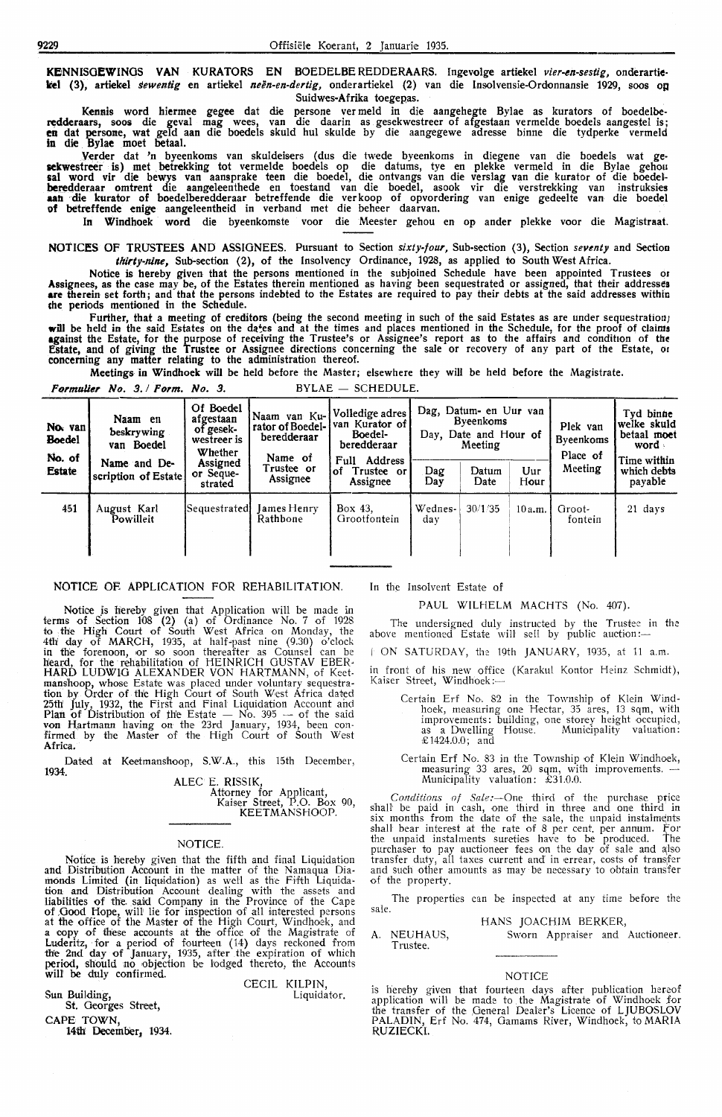**KElNNISOEWINOS VAN** KURATORS EN BOEDELBE REDDERAARS. Ingevolge artiekel *vier-en-sestig,* onderartitkel (3), artiekel *sewentig* en artiekel neën-en-dertig, onderartiekel (2) van die Insolvensie-Ordonnansie 1929, soos o**n** Suidwes-Afrika toegepas.

Kennis word hiermee gegee dat die persone ver meld in die aangehegte Bylae as kurators of boedelbe**rc;dderaars,** soos die geval mag wees, van die daarin as gesekwestreer of afgestaan vermelde boedels aangestel is; en dat persone, wat geld aan die boedels skuld hul skulde by die aangegewe adresse binne die tydperke vermeld in die Bylae moet betaal.

Yerder dat 'n byeenkoms van skuldeisers ( dus die twede byeenkoms in diegene van die boedels wat ge**sckwestreer** is) met betrekking tot vermelde boedels op die datums, tye en plekke vermeld in die Bylae gehou sal word vir die bewys van aansprake teen die boedel, die ontvangs van die verslag van die kurator of die boedel**beredderaar omtrent die aangeleenthede en toestand van die boedel, asook vir die verstrekking van instruksies** aan die kurator of boedelberedderaar betreffende die verkoop of opvordering van enige gedeelte van die boedel of betreffende enige aangeleentheid in verband met die beheer daarvan.

In Windhoek word die byeenkomste voor die Meester gehou en op antler plekke voor die Magistraat.

NOTICES OF TRUSTEES AND ASSIGNEES. Pursuant to Section *sixty-four,* Sub-section (3), Section *seventy* and Section *tltirty-mne,* Sub-section (2), of the Insolvency Ordinance, 1928, as applied to South West Africa.

Notice is hereby given that the persons mentioned in the subjoined Schedule have been appointed Trustees or Assignees, as the case may be, of the Estates therein mentioned as having been sequestrated or assigned, that their addresses **are** therein set forth; and that the persons indebted to the Estates are required to pay their debts at the said addresses within che periods mentioned in the Schedule.

Further, that a meeting of creditors (being the second meeting in such of the said Estates as are under sequestration) will be held in the said Estates on the da\*es and at the times and places mentioned in the Schedule, for the proof of claims **against the Estate, for the purpose of receiving the Trustee's or Assignee's report as to the affairs and condition of the** Estate, and of giving the Trustee or Assignee directions concerning the sale or recovery of any part of the Estate, or concerning any matter relating to the administration thereof.

**Meetings** in Windhoek will be held before the Master; elsewhere they will be held before the Magistrate.

|                                                     | <i>Urmaner 190. 3.1 Lurm. 190. 3.</i> |                                                                                                   |                                                                                                                     | $1122 = 301120022.$                              |                |                                                                           |             |                                                     |                                                                                           |
|-----------------------------------------------------|---------------------------------------|---------------------------------------------------------------------------------------------------|---------------------------------------------------------------------------------------------------------------------|--------------------------------------------------|----------------|---------------------------------------------------------------------------|-------------|-----------------------------------------------------|-------------------------------------------------------------------------------------------|
| No. van<br><b>Boedel</b><br>No. of<br><b>Estate</b> | Naam en<br>beskrywing<br>van Boedel   | Of Boedel<br>afgestaan<br>of gesek-<br>westreer is<br>Whether<br>Assigned<br>or Seque-<br>strated | Naam van Ku- Volledige adres<br>rator of Boedel- van Kurator of<br>beredderaar<br>Name of<br>Trustee or<br>Assignee | Boedel-<br>beredderaar                           | Day.           | Dag, Datum- en Uur van<br><b>Byeenkoms</b><br>Date and Hour of<br>Meeting |             | Plek van<br><b>Byeenkoms</b><br>Place of<br>Meeting | Tyd binne<br>'welke skuld<br>betaal moet<br>word<br>Time within<br>which debts<br>payable |
|                                                     | Name and De-<br>scription of Estate   |                                                                                                   |                                                                                                                     | Address<br>Full<br>∣of<br>Trustee or<br>Assignee | Dag<br>Day     | Datum<br>Date                                                             | Uur<br>Hour |                                                     |                                                                                           |
| 451                                                 | August Karl<br>Powilleit              | Sequestrated                                                                                      | James Henry<br>Rathbone                                                                                             | Box 43.<br>Grootfontein                          | Wednes-<br>day | 30/1/35                                                                   | 10a.m.      | Groot-<br>fontein                                   | 21 days                                                                                   |

#### NOTICE OR APPLICATION FOR REHABILITATION.

*Ft1rmulier No. 3.* I *Form.* No. 3. BYLAE - SCHEDULE.

Notioe js hereby given that Application will be made in terms of Section 108 (2) (a) of Ordinance No. 7 of 1928 to the High Court of South West Africa on Monday, the 4th day of MARCH, 1935, at half-past nine (9.30) o'clock in the forenoon, or so soon thereafter as Counsel can be Heard, for the rehabilitation of HEINRICH GUSTAV EBER• **HARD** LUDWIG ALEXANDER VON HARTMANN, of Keetmanshoop, whose Estate was placed under voluntary sequestration by Order of th'e High Oourt of South West Africa dated 25th July, 1932, the First and Final Liquidation Account and<br>Plan of Distribution of the Estate — No. 395 — of the said<br>von Hartmann having on the 23rd January, 1934, been con-<br>firmed by the Master of the High Court of Sou Africa.

Dated at Keetmanshoop, S.W.A., this 15th December, **1934.** 

ALEC E. RISSIK, Attorney for Applicant, Kaiser Street, P.O. Box 90, KEETMANSHOOP.

CECIL KILPIN,

Liquidator.

#### NOTICE.

Notice is hereby given that the fifth and final Liquidation and Distribution Account in the matter of the Namaqua Diamonds Limited (in liquidation) as well as the Fifth Liquidation and Distribution Account dealing with the assets and liabilities of the said Company in the Province of the Cape of Good Hope, will lie for inspection of all interested persons at fhe office of the Master of the High Court, Windhoek, and a copy of these accounts at the offioe of the Magistrate of Luderitz, for a period of fourteen (14) days reckoned from the 2nd day of January, 1935, after the expiration of which period, should no objection be lodged thereto, the Accounts will be duly confirmed.

Sun Building, St. Georges Street,

**CAPE TOWN,** 

**14tll Deceml)er,** 1934.

In the Insolvent Estate of

#### PAUL WILHELM MACHTS (No. 407).

The undersigned duly instructed by the Trustee in the above mentioned Estate will sell by public auction:—

 $\uparrow$  ON SATURDAY, the 19th JANUARY, 1935, at 11 a.m.

in front of his new office (Karakul Kontor Heinz Schmidt), Kaiser Street, Windhoek:-

Certain Erf No. 82 in the Township of Klein Wind· hoek, measuring one Hectar, 35 ares, 13 sqm, with improvements: building, one storey height occupied,<br>as a Dwelling House. Municipality valuation: £ 1424.0.0; and

Certain Erf No. 83 in the Township of Klein Windhoek, measuring 33 ares, 20 sqm, with improvements. - Municipality valuation: £31.0.0.

Conditions of Sale:-One third of the purchase price shall' be paid in cash, one third in three and one third in six months from the date of the sale, the unpaid instalments shall bear interest at the rate of 8 per cent. per annum. For the unpaid instalments sureties have to be produced. The purchaser to pay auctioneer fees on the day of sale and also transfer duty, all taxes current and in errear, costs of transfer and such other amounts as may be necessary to obtain transfer of the property.

The properties can be inspected at any time before the sale.

#### HANS JOACHIM BERKER,

A. NEUHAUS, Trnstee. Sworn Appraiser and Auctioneer.

#### **NOTICE**

is hereby given that fourteen days after publication hereof application will be made to the Magistrate of Windhoek for the transfer of the General Dealer's Licence of LJUBOSLOV PALADIN, Erf No. 474, Oamams River, Windhoek, to MARIA RUZIECKI.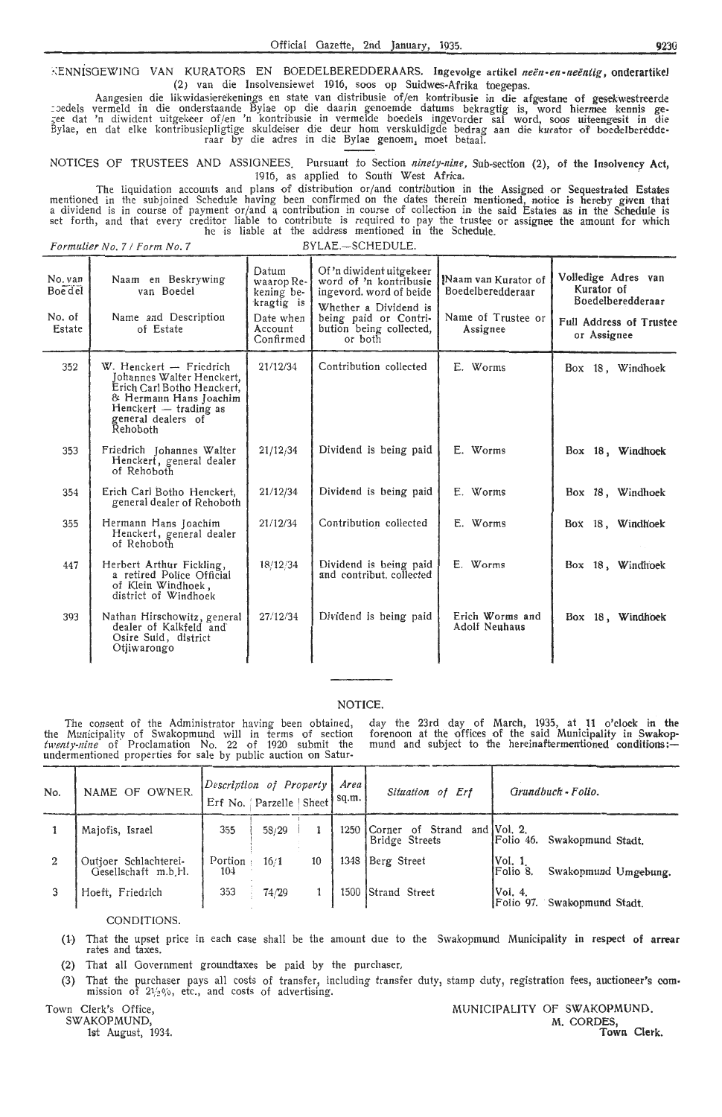$\div$ ENNISGEWING VAN KURATORS EN BOEDELBEREDDERAARS. Ingevolge artikel *neën-en-neëntig*, onderartikel (2) van die Insolvensiewet 1916, soos op Suidwes-Afrika toegepas.

Aangesien die likwidasierekenings en state van distribusie of/en kontribusie in die afgestane of gesekwestreerde ::>edels vermeld in die onderstaande Bylae op die daarin g-enoemde datums bekragtig is, word hiermee kennis ge- <sub>s</sub>ee dat 'n diwident uitgekeer of/en 'n kontribusie in vermelde boedels ingevorder sal word, soos uiteengesit in die Bylae, en dat elke kontribusiepligtige skuldeiser die deur hom verskuldigde bedrag aan die kurator of boedelberedde<br>raar by die adres in die Bylae genoem, moet betaal.

NOTICES OF TRUSTEES AND ASSIGNEES. Pursuant to Section *ninety-nine*, Sub-section (2), of the Insolvency Act, 1916, as applied to South' West Africa.

The liquidation accounts and plans of distribution or/ and contribution in the Assigned or Sequestrated Estates mentioned in the subjoined Schedule having been confirmed on the dates therein mentioned, notice is hereby given that<br>a dividend is in course of payment or/and a contribution in course of collection in the said Estates as he is liable at the address mentioned in the Schedule.

*Formulier No. 7 / Form No. 7* BYLAE.-SCHEDULE.

| No. van<br><b>Boe</b> del<br>No. of<br>Estate | Naam en Beskrywing<br>van Boedel<br>Name and Description<br>of Estate                                                                                                        | Datum<br>waarop Re-<br>kening be-<br>kragtig is<br>Date when<br>Account<br>Confirmed | Of 'n diwident uitgekeer<br>word of 'n kontribusie<br>ingevord, word of beide<br>Whether a Dividend is<br>being paid or Contri-<br>bution being collected,<br>or both | Naam van Kurator of<br>Boedelberedderaar<br>Name of Trustee or<br>Assignee | Volledige Adres van<br>Kurator of<br>Boedelberedderaar<br><b>Full Address of Trustee</b><br>or Assignee |
|-----------------------------------------------|------------------------------------------------------------------------------------------------------------------------------------------------------------------------------|--------------------------------------------------------------------------------------|-----------------------------------------------------------------------------------------------------------------------------------------------------------------------|----------------------------------------------------------------------------|---------------------------------------------------------------------------------------------------------|
| 352                                           | $W$ . Henckert $-$ Friedrich<br>Johannes Walter Henckert,<br>Erich Carl Botho Henckert,<br>& Hermann Hans Joachim<br>Henckert - trading as<br>general dealers of<br>Rehoboth | 21/12/34                                                                             | Contribution collected                                                                                                                                                | E. Worms                                                                   | Box 18, Windhoek                                                                                        |
| 353                                           | Friedrich Johannes Walter<br>Henckert, general dealer<br>of Rehoboth                                                                                                         | 21/12/34                                                                             | Dividend is being paid                                                                                                                                                | E. Worms                                                                   | Box 18, Windhoek                                                                                        |
| 354                                           | Erich Carl Botho Henckert,<br>general dealer of Rehoboth                                                                                                                     | 21/12/34                                                                             | Dividend is being paid                                                                                                                                                | E. Worms                                                                   | Box 18, Windhoek                                                                                        |
| 355                                           | Hermann Hans Joachim<br>Henckert, general dealer<br>of Rehoboth                                                                                                              | 21/12/34                                                                             | Contribution collected                                                                                                                                                | E. Worms                                                                   | Box 18, Windhoek                                                                                        |
| 447                                           | Herbert Arthur Fickling,<br>a retired Police Official<br>of Klein Windhoek,<br>district of Windhoek                                                                          | 18/12/34                                                                             | Dividend is being paid<br>and contribut, collected                                                                                                                    | E. Worms                                                                   | Box 18, Windhoek                                                                                        |
| 393                                           | Nathan Hirschowitz, general<br>dealer of Kalkfeld and<br>Osire Suid, district<br>Otjiwarongo                                                                                 | 27/12/34                                                                             | Dividend is being paid                                                                                                                                                | Erich Worms and<br><b>Adolf Neuhaus</b>                                    | Box 18, Windhoek                                                                                        |

#### NOTICE.

The consent of the Administrator having been obtained, the Municipality of Swakopmund will in terms of section *twenty-nine* of Proclamation No. 22 of 1920 submit the undermentioned properties for sale by public auction on Saturday the 23rd day of March, 1935, at 11 o'clock in the forenoon at the offices of the said Municipality in Swakopmund and subject to the hereinaftermentioned conditions: $-$ 

| No. | NAME OF OWNER.                               | Description of Property | Erf No.   Parzelle   Sheet |    | Area<br>sq.m. | Situation of Erf                             | Grundbuch - Folio.                                |
|-----|----------------------------------------------|-------------------------|----------------------------|----|---------------|----------------------------------------------|---------------------------------------------------|
|     | Majofis, Israel                              | 355                     | 58/29                      |    | 1250          | of Strand<br><b>Corner</b><br>Bridge Streets | and $Vol. 2$ .<br>Swakopmund Stadt.<br>lFolio 46. |
|     | Outjoer Schlachterei-<br>Gesellschaft m.b.H. | Portion:<br>104         | 16/1                       | 10 | 1348          | Berg Street                                  | [Vol. 1]<br>IFolio 8.<br>Swakopmund Umgebung.     |
|     | Hoeft, Friedrich                             | 353                     | 74/29                      |    |               | 1500 Strand Street                           | IVol. 4.<br>Swakopmund Stadt.<br>IFolio 97.       |

#### CONDITIONS.

- (1-) That the upset price in each case shall be the amount due to the Swakopmund Municipality in respect of **arrear**  rates and taxes.
- (2) That all Government groundtaxes be paid by the purchaser.
- (3) That the purchaser pays all costs of transfer, including transfer duty, stamp duty, registration fees, auctioneer's commission of  $2\frac{1}{2}\frac{1}{2}\frac{1}{2}\frac{1}{2}$ , etc., and costs of advertising.

Town Clerk's Office, SWAKOPMUND,

MUNICIPALITY OF SWAKOPMUND.<br>M. CORDES, 1st August, 1934. Town Clerk.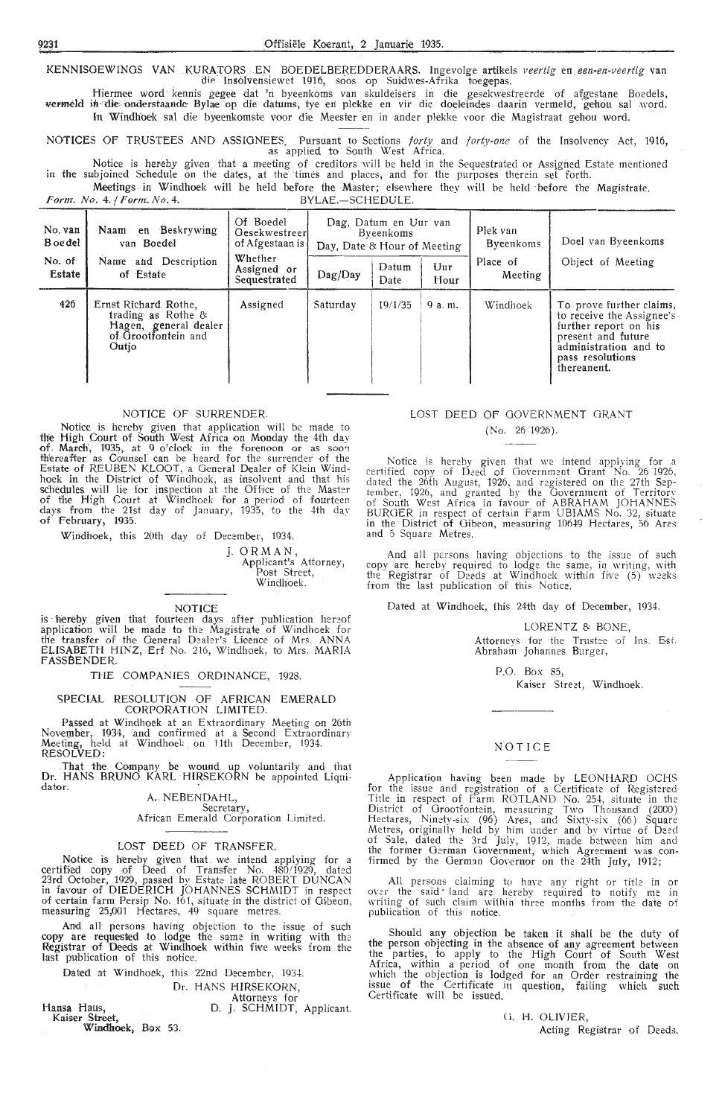KENNISGEWINGS VAN KURATORS EN BOEDELBEREDDERAARS. Ingevolge artikels veertig en een-en-veertig van die Insolvensiewet 1916, soos op Suidwes-Afrika toegepas.

Hiermee word kennis gegee dat 'n byeenkoms van skuldeisers in die gesekwestreerde of afgestane Boedels, vermeld in die onderstaande Bylae op die datums, tye en plekke en vir die doeleindes daarin vermeld, gehou sal word. In Windhoek sal die byeenkomste voor die Meester en in ander plekke voor die Magistraat gehou word.

NOTICES OF TRUSTEES AND ASSIGNEES. Pursuant to Sections *forty* and *forty-one* of the Insolvency Act, 1916, as applied *to* South West Africa.

Notice is hereby given that a meeting of creditors will be held in the Sequestrated or Assigned Estate mentioned in the subjoined Schedule on the dates, at the times and places, and for the purposes therein set forth.

Meetings in Windhoek will be held before the Master; elsewhere they will be held ·before the Magistrak.

Form. No. 4. | Form. No. 4, September 1988. And All BYLAE.-SCHEDULE.

| No. van<br>B oe del<br>No. of<br>Estate | en Beskrywing<br>Naam<br>van Boedel<br>Name and Description<br>of Estate                            | Of Boedel<br>Gesekwestreerl<br>of Afgestaan is<br>Whether<br>Assigned or<br>Sequestrated | Day, Date & Hour of Meeting<br>Dag/Day | Dag, Datum en Uur van<br>Byeenkoms<br>Datum<br>Date | Uur<br>Hour | Plek van<br><b>Byeenkoms</b><br>Place of<br>Meeting | Doel van Byeenkoms<br>Object of Meeting                                                                                                                          |
|-----------------------------------------|-----------------------------------------------------------------------------------------------------|------------------------------------------------------------------------------------------|----------------------------------------|-----------------------------------------------------|-------------|-----------------------------------------------------|------------------------------------------------------------------------------------------------------------------------------------------------------------------|
| 426                                     | Ernst Richard Rothe,<br>trading as Rothe &<br>Hagen, general dealer<br>of Grootfontein and<br>Outio | Assigned                                                                                 | Saturday                               | 19/1/35                                             | 9a.m.       | Windhoek                                            | To prove further claims,<br>to receive the Assignee's<br>further report on his<br>present and future<br>administration and to<br>pass resolutions<br>thereanent. |

#### NOTICE OF SURRENDER.

Notice is hereby given that application will be made to the High Court of South West Africa on Monday the 4th day of March, 1935, at .0 o'clock in the forenoon or as soon thereafter as Counsel can be heard for the surrender of the Estate of REUBEN KLOOT, a General Dealer of Klein Windhoek in the District of Windhoek, as insolvent and that his schedules will lie for inspection at the Office of the Master<br>of the High Court at Windhoek for a period of fourteen days from the 21st day of January, 1935, *to* the 4th da\· of February, 1935.

Windhoek, this 20th day of December, 1934.

J. ORMAN, Applicant's Attorney, Post Street, Windhoek.

#### NOTICE

is hereby given that fourteen days after publication hereof<br>application will be made to the Magistrate of Windhoek for the transfer of the General Dealer's Licence of Mrs. ANNA ELISABETH HINZ, Erf No. 216, Windhoek, to Mrs. MARIA **FASS BENDER.** 

THE COMPANIES ORDINANCE, 1928.

#### SPECIAL RESOLUTION OF AFRICAN EMERALD CORPORATION LIMITED.

Passed at Windhoek at an Extraordinary Meeting on 26th November, 1934, and confirmed at a Second Extraordinary Meeting, held .at Windhoek\_ on 11th December, 1934. Meeting, held<br>RESOLVED:

That the. Company be wound up voluntarily and that Dr. HANS BRUNO KARL HJRSEKORN be appointed Liqui**dator.** 

#### A. NEBENDAHL, Secretary,

#### African Emerald Corporation Limited.

#### LOST DEED OF TRANSFER.

Notice is hereby given that we intend applying for a certified copy of Deed of Transfer No. 480/1929, dated 23rd October, 1929, passed by Estate late ROBERT DUNCAN in favour of DIEDERICH JOHANNES SCHMIDT in respect of certain farm Persip No, 161, situate in the district of Gibeon, measuring 25,001 Hectares, 49 square metres.

And all persons having objection to the issue of such copy are requested to lodge the same in writing with the<br>Registrar of Deeds at Windhoek within five weeks from the last publication of this notioe.

Dated at Windhoek, this 22nd December, 1934.

Dr. HANS HIRSEKORN,

Attorneys for

Hansa Haus, Kaiser Street, D. J. SCHMIDT, Applicant.

**Windhoek,** Box 53.

#### LOST DEED OF GOVERNMENT GRANT (No. 26 "1926).

Notice is hereby given that we intend applying for a certified copy of Deed of Government Grant No. 26 1926, dated the 26th August, 1926, and registered on the 27th Sep- tember, 1926, and granted by the Government of Territor\' of South West Africa in favour of ABRAHAM JOHANNES BURGER in respect of certain Farm UBIAMS No. 32, situate in the District of Oibeon, measuring 10649 Hectares, 56 Ares and 5 Square Metres.

And all persons having objections to the issue of such copy are hereby required to lodge the same, in writing, with the Registrar of Deeds at Windhoek within five (5) weeks from the last publication of this Notice.

Dated at Windhoek, this 24th day of December, 1934.

LORENTZ & BONE,

Attornevs for the Trustee of Ins. Est. Abraham Johannes Burger,

P.O. Box 85, Kaiser Street, Windhoek.

## NOTICE

Application having been made by LEONHARD OCHS for the issue and registration of a Certificate of Registered Title in respect of Farm ROTLAND No. 254, situate in the District of Grootfontein, measuring Two Thousand (2000) Hectares, Ninety-six (96) Ares, and Sixty-six (66) Square Metres, originally held by him under and by virtue of Deed of Sale, dated the 3rd July, 1912, made between him and the former German Government, which Agreement was confirmed by the German Governor on the  $24$ <sup>th</sup> July, 1912;

All persons claiming to have any right or title in or over the said land are hereby required to notify me in writing of such claim within three months from the date of publication of this notice.

Should any objection be taken it shall be the duty of the person objecting in the absence of any agreement between the parties, to apply to the High Court of South West Africa, within a period of one month from the date on which the objection is lodged for an Order restraining ihe issue of the Certificate in question, failing which such Certificate will be issued.

> Ci. H. OLIVIER, Acting Registrar of Deeds.